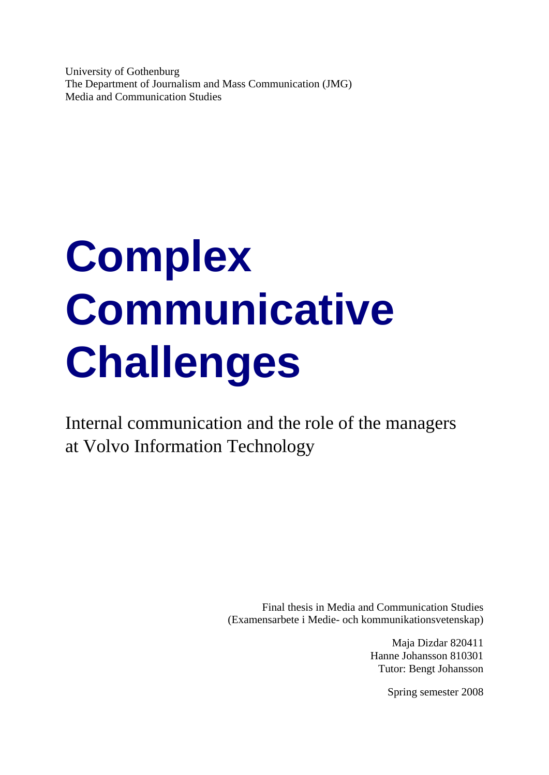University of Gothenburg The Department of Journalism and Mass Communication (JMG) Media and Communication Studies

# **Complex Communicative Challenges**

Internal communication and the role of the managers at Volvo Information Technology

> Final thesis in Media and Communication Studies (Examensarbete i Medie- och kommunikationsvetenskap)

> > Maja Dizdar 820411 Hanne Johansson 810301 Tutor: Bengt Johansson

> > > Spring semester 2008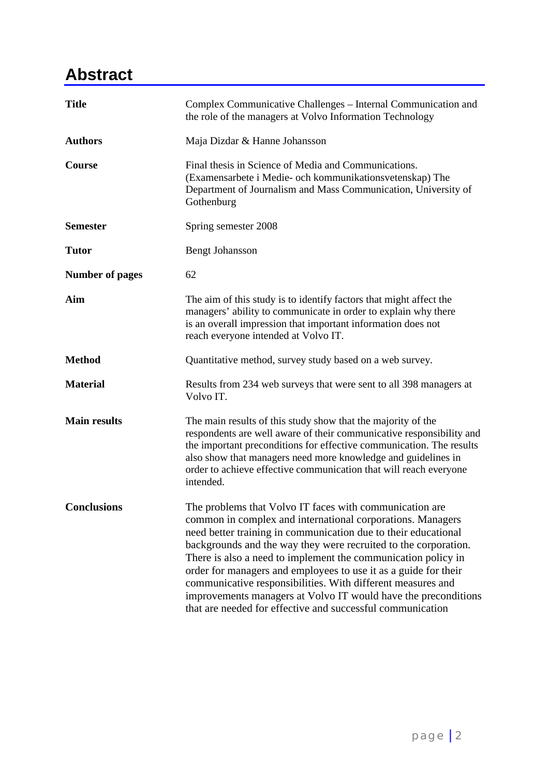# **Abstract**

| <b>Title</b>           | Complex Communicative Challenges – Internal Communication and<br>the role of the managers at Volvo Information Technology                                                                                                                                                                                                                                                                                                                                                                                                                                                                     |  |
|------------------------|-----------------------------------------------------------------------------------------------------------------------------------------------------------------------------------------------------------------------------------------------------------------------------------------------------------------------------------------------------------------------------------------------------------------------------------------------------------------------------------------------------------------------------------------------------------------------------------------------|--|
| <b>Authors</b>         | Maja Dizdar & Hanne Johansson                                                                                                                                                                                                                                                                                                                                                                                                                                                                                                                                                                 |  |
| Course                 | Final thesis in Science of Media and Communications.<br>(Examensarbete i Medie- och kommunikationsvetenskap) The<br>Department of Journalism and Mass Communication, University of<br>Gothenburg                                                                                                                                                                                                                                                                                                                                                                                              |  |
| <b>Semester</b>        | Spring semester 2008                                                                                                                                                                                                                                                                                                                                                                                                                                                                                                                                                                          |  |
| <b>Tutor</b>           | <b>Bengt Johansson</b>                                                                                                                                                                                                                                                                                                                                                                                                                                                                                                                                                                        |  |
| <b>Number of pages</b> | 62                                                                                                                                                                                                                                                                                                                                                                                                                                                                                                                                                                                            |  |
| Aim                    | The aim of this study is to identify factors that might affect the<br>managers' ability to communicate in order to explain why there<br>is an overall impression that important information does not<br>reach everyone intended at Volvo IT.                                                                                                                                                                                                                                                                                                                                                  |  |
| <b>Method</b>          | Quantitative method, survey study based on a web survey.                                                                                                                                                                                                                                                                                                                                                                                                                                                                                                                                      |  |
| <b>Material</b>        | Results from 234 web surveys that were sent to all 398 managers at<br>Volvo IT.                                                                                                                                                                                                                                                                                                                                                                                                                                                                                                               |  |
| <b>Main results</b>    | The main results of this study show that the majority of the<br>respondents are well aware of their communicative responsibility and<br>the important preconditions for effective communication. The results<br>also show that managers need more knowledge and guidelines in<br>order to achieve effective communication that will reach everyone<br>intended.                                                                                                                                                                                                                               |  |
| <b>Conclusions</b>     | The problems that Volvo IT faces with communication are<br>common in complex and international corporations. Managers<br>need better training in communication due to their educational<br>backgrounds and the way they were recruited to the corporation.<br>There is also a need to implement the communication policy in<br>order for managers and employees to use it as a guide for their<br>communicative responsibilities. With different measures and<br>improvements managers at Volvo IT would have the preconditions<br>that are needed for effective and successful communication |  |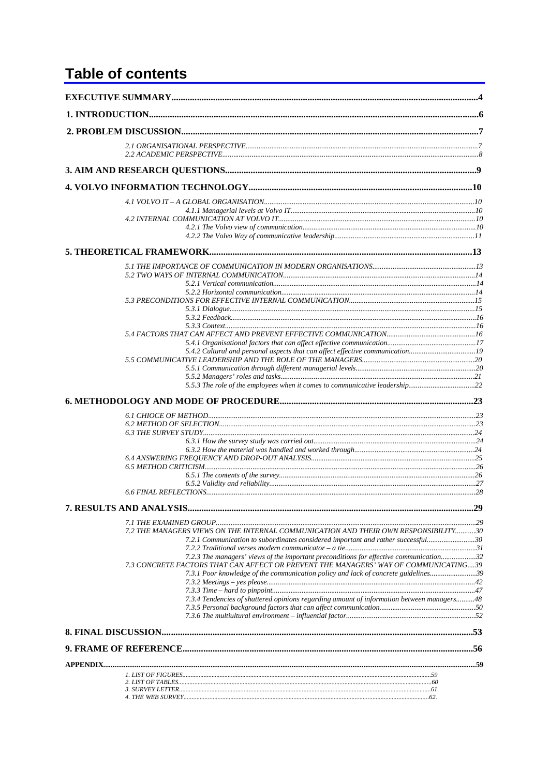## **Table of contents**

| 5.4.2 Cultural and personal aspects that can affect effective communication19                                                                                                  |  |
|--------------------------------------------------------------------------------------------------------------------------------------------------------------------------------|--|
|                                                                                                                                                                                |  |
|                                                                                                                                                                                |  |
|                                                                                                                                                                                |  |
|                                                                                                                                                                                |  |
|                                                                                                                                                                                |  |
|                                                                                                                                                                                |  |
|                                                                                                                                                                                |  |
|                                                                                                                                                                                |  |
|                                                                                                                                                                                |  |
|                                                                                                                                                                                |  |
|                                                                                                                                                                                |  |
|                                                                                                                                                                                |  |
|                                                                                                                                                                                |  |
|                                                                                                                                                                                |  |
| 7.2 THE MANAGERS VIEWS ON THE INTERNAL COMMUNICATION AND THEIR OWN RESPONSIBILITY30<br>7.2.1 Communication to subordinates considered important and rather successful30        |  |
|                                                                                                                                                                                |  |
| 7.2.3 The managers' views of the important preconditions for effective communication32<br>7.3 CONCRETE FACTORS THAT CAN AFFECT OR PREVENT THE MANAGERS' WAY OF COMMUNICATING39 |  |
| 7.3.1 Poor knowledge of the communication policy and lack of concrete guidelines39                                                                                             |  |
|                                                                                                                                                                                |  |
| 7.3.4 Tendencies of shattered opinions regarding amount of information between managers48                                                                                      |  |
|                                                                                                                                                                                |  |
|                                                                                                                                                                                |  |
|                                                                                                                                                                                |  |
|                                                                                                                                                                                |  |
|                                                                                                                                                                                |  |
|                                                                                                                                                                                |  |
|                                                                                                                                                                                |  |
|                                                                                                                                                                                |  |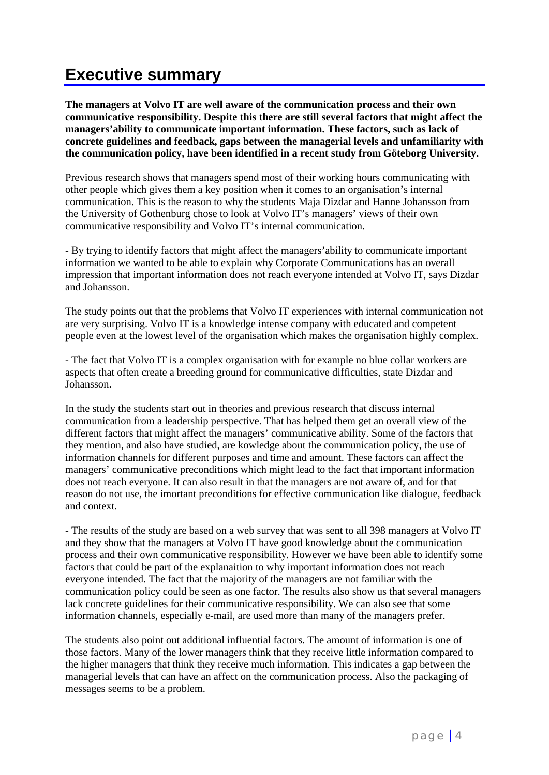# **Executive summary**

**The managers at Volvo IT are well aware of the communication process and their own communicative responsibility. Despite this there are still several factors that might affect the managers'ability to communicate important information. These factors, such as lack of concrete guidelines and feedback, gaps between the managerial levels and unfamiliarity with the communication policy, have been identified in a recent study from Göteborg University.** 

Previous research shows that managers spend most of their working hours communicating with other people which gives them a key position when it comes to an organisation's internal communication. This is the reason to why the students Maja Dizdar and Hanne Johansson from the University of Gothenburg chose to look at Volvo IT's managers' views of their own communicative responsibility and Volvo IT's internal communication.

- By trying to identify factors that might affect the managers'ability to communicate important information we wanted to be able to explain why Corporate Communications has an overall impression that important information does not reach everyone intended at Volvo IT, says Dizdar and Johansson.

The study points out that the problems that Volvo IT experiences with internal communication not are very surprising. Volvo IT is a knowledge intense company with educated and competent people even at the lowest level of the organisation which makes the organisation highly complex.

- The fact that Volvo IT is a complex organisation with for example no blue collar workers are aspects that often create a breeding ground for communicative difficulties, state Dizdar and Johansson.

In the study the students start out in theories and previous research that discuss internal communication from a leadership perspective. That has helped them get an overall view of the different factors that might affect the managers' communicative ability. Some of the factors that they mention, and also have studied, are kowledge about the communication policy, the use of information channels for different purposes and time and amount. These factors can affect the managers' communicative preconditions which might lead to the fact that important information does not reach everyone. It can also result in that the managers are not aware of, and for that reason do not use, the imortant preconditions for effective communication like dialogue, feedback and context.

- The results of the study are based on a web survey that was sent to all 398 managers at Volvo IT and they show that the managers at Volvo IT have good knowledge about the communication process and their own communicative responsibility. However we have been able to identify some factors that could be part of the explanaition to why important information does not reach everyone intended. The fact that the majority of the managers are not familiar with the communication policy could be seen as one factor. The results also show us that several managers lack concrete guidelines for their communicative responsibility. We can also see that some information channels, especially e-mail, are used more than many of the managers prefer.

The students also point out additional influential factors. The amount of information is one of those factors. Many of the lower managers think that they receive little information compared to the higher managers that think they receive much information. This indicates a gap between the managerial levels that can have an affect on the communication process. Also the packaging of messages seems to be a problem.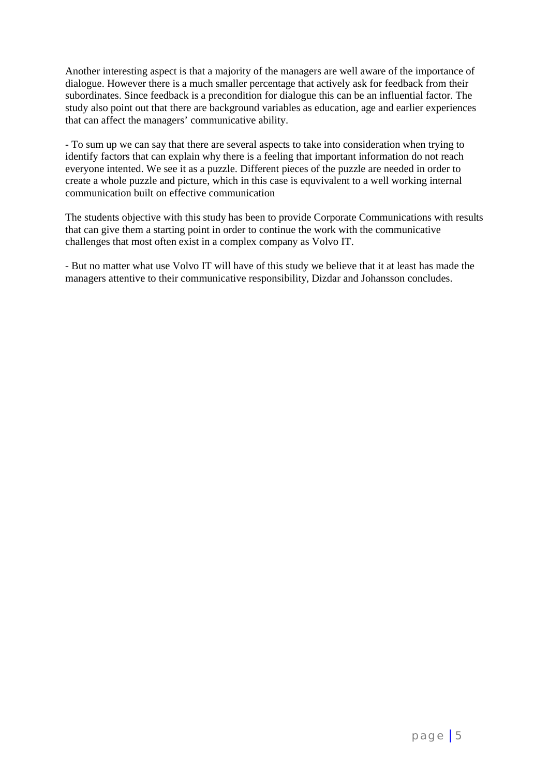Another interesting aspect is that a majority of the managers are well aware of the importance of dialogue. However there is a much smaller percentage that actively ask for feedback from their subordinates. Since feedback is a precondition for dialogue this can be an influential factor. The study also point out that there are background variables as education, age and earlier experiences that can affect the managers' communicative ability.

- To sum up we can say that there are several aspects to take into consideration when trying to identify factors that can explain why there is a feeling that important information do not reach everyone intented. We see it as a puzzle. Different pieces of the puzzle are needed in order to create a whole puzzle and picture, which in this case is equvivalent to a well working internal communication built on effective communication

The students objective with this study has been to provide Corporate Communications with results that can give them a starting point in order to continue the work with the communicative challenges that most often exist in a complex company as Volvo IT.

- But no matter what use Volvo IT will have of this study we believe that it at least has made the managers attentive to their communicative responsibility, Dizdar and Johansson concludes.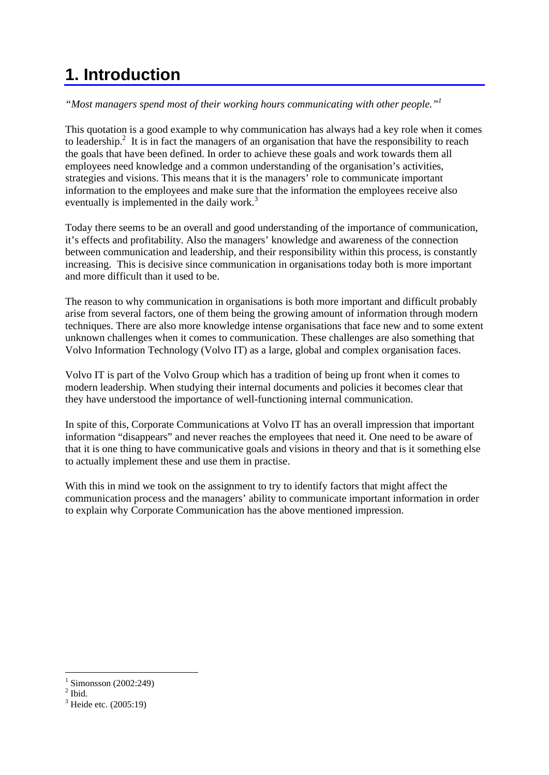# **1. Introduction**

*"Most managers spend most of their working hours communicating with other people."1*

This quotation is a good example to why communication has always had a key role when it comes to leadership.<sup>2</sup> It is in fact the managers of an organisation that have the responsibility to reach the goals that have been defined. In order to achieve these goals and work towards them all employees need knowledge and a common understanding of the organisation's activities, strategies and visions. This means that it is the managers' role to communicate important information to the employees and make sure that the information the employees receive also eventually is implemented in the daily work.<sup>3</sup>

Today there seems to be an overall and good understanding of the importance of communication, it's effects and profitability. Also the managers' knowledge and awareness of the connection between communication and leadership, and their responsibility within this process, is constantly increasing. This is decisive since communication in organisations today both is more important and more difficult than it used to be.

The reason to why communication in organisations is both more important and difficult probably arise from several factors, one of them being the growing amount of information through modern techniques. There are also more knowledge intense organisations that face new and to some extent unknown challenges when it comes to communication. These challenges are also something that Volvo Information Technology (Volvo IT) as a large, global and complex organisation faces.

Volvo IT is part of the Volvo Group which has a tradition of being up front when it comes to modern leadership. When studying their internal documents and policies it becomes clear that they have understood the importance of well-functioning internal communication.

In spite of this, Corporate Communications at Volvo IT has an overall impression that important information "disappears" and never reaches the employees that need it. One need to be aware of that it is one thing to have communicative goals and visions in theory and that is it something else to actually implement these and use them in practise.

With this in mind we took on the assignment to try to identify factors that might affect the communication process and the managers' ability to communicate important information in order to explain why Corporate Communication has the above mentioned impression.

<sup>1</sup> Simonsson (2002:249)

 $<sup>2</sup>$  Ibid.</sup>

<sup>&</sup>lt;sup>3</sup> Heide etc. (2005:19)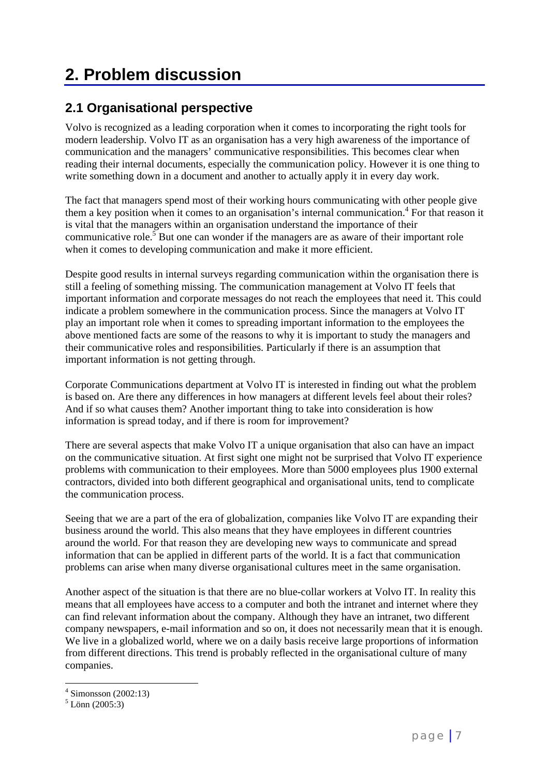# **2. Problem discussion**

### **2.1 Organisational perspective**

Volvo is recognized as a leading corporation when it comes to incorporating the right tools for modern leadership. Volvo IT as an organisation has a very high awareness of the importance of communication and the managers' communicative responsibilities. This becomes clear when reading their internal documents, especially the communication policy. However it is one thing to write something down in a document and another to actually apply it in every day work.

The fact that managers spend most of their working hours communicating with other people give them a key position when it comes to an organisation's internal communication.<sup>4</sup> For that reason it is vital that the managers within an organisation understand the importance of their communicative role.<sup>5</sup> But one can wonder if the managers are as aware of their important role when it comes to developing communication and make it more efficient.

Despite good results in internal surveys regarding communication within the organisation there is still a feeling of something missing. The communication management at Volvo IT feels that important information and corporate messages do not reach the employees that need it. This could indicate a problem somewhere in the communication process. Since the managers at Volvo IT play an important role when it comes to spreading important information to the employees the above mentioned facts are some of the reasons to why it is important to study the managers and their communicative roles and responsibilities. Particularly if there is an assumption that important information is not getting through.

Corporate Communications department at Volvo IT is interested in finding out what the problem is based on. Are there any differences in how managers at different levels feel about their roles? And if so what causes them? Another important thing to take into consideration is how information is spread today, and if there is room for improvement?

There are several aspects that make Volvo IT a unique organisation that also can have an impact on the communicative situation. At first sight one might not be surprised that Volvo IT experience problems with communication to their employees. More than 5000 employees plus 1900 external contractors, divided into both different geographical and organisational units, tend to complicate the communication process.

Seeing that we are a part of the era of globalization, companies like Volvo IT are expanding their business around the world. This also means that they have employees in different countries around the world. For that reason they are developing new ways to communicate and spread information that can be applied in different parts of the world. It is a fact that communication problems can arise when many diverse organisational cultures meet in the same organisation.

Another aspect of the situation is that there are no blue-collar workers at Volvo IT. In reality this means that all employees have access to a computer and both the intranet and internet where they can find relevant information about the company. Although they have an intranet, two different company newspapers, e-mail information and so on, it does not necessarily mean that it is enough. We live in a globalized world, where we on a daily basis receive large proportions of information from different directions. This trend is probably reflected in the organisational culture of many companies.

<sup>4</sup> Simonsson (2002:13)

 $<sup>5</sup>$  Lönn (2005:3)</sup>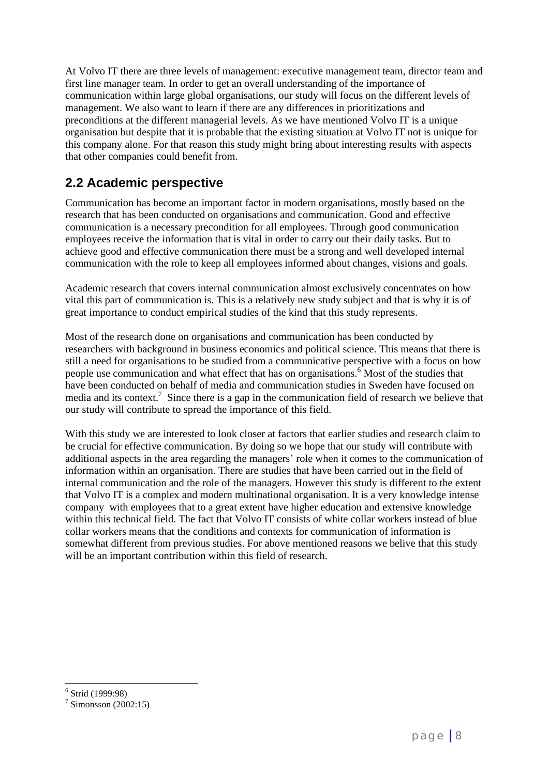At Volvo IT there are three levels of management: executive management team, director team and first line manager team. In order to get an overall understanding of the importance of communication within large global organisations, our study will focus on the different levels of management. We also want to learn if there are any differences in prioritizations and preconditions at the different managerial levels. As we have mentioned Volvo IT is a unique organisation but despite that it is probable that the existing situation at Volvo IT not is unique for this company alone. For that reason this study might bring about interesting results with aspects that other companies could benefit from.

### **2.2 Academic perspective**

Communication has become an important factor in modern organisations, mostly based on the research that has been conducted on organisations and communication. Good and effective communication is a necessary precondition for all employees. Through good communication employees receive the information that is vital in order to carry out their daily tasks. But to achieve good and effective communication there must be a strong and well developed internal communication with the role to keep all employees informed about changes, visions and goals.

Academic research that covers internal communication almost exclusively concentrates on how vital this part of communication is. This is a relatively new study subject and that is why it is of great importance to conduct empirical studies of the kind that this study represents.

Most of the research done on organisations and communication has been conducted by researchers with background in business economics and political science. This means that there is still a need for organisations to be studied from a communicative perspective with a focus on how people use communication and what effect that has on organisations.<sup>6</sup> Most of the studies that have been conducted on behalf of media and communication studies in Sweden have focused on media and its context.<sup>7</sup> Since there is a gap in the communication field of research we believe that our study will contribute to spread the importance of this field.

With this study we are interested to look closer at factors that earlier studies and research claim to be crucial for effective communication. By doing so we hope that our study will contribute with additional aspects in the area regarding the managers' role when it comes to the communication of information within an organisation. There are studies that have been carried out in the field of internal communication and the role of the managers. However this study is different to the extent that Volvo IT is a complex and modern multinational organisation. It is a very knowledge intense company with employees that to a great extent have higher education and extensive knowledge within this technical field. The fact that Volvo IT consists of white collar workers instead of blue collar workers means that the conditions and contexts for communication of information is somewhat different from previous studies. For above mentioned reasons we belive that this study will be an important contribution within this field of research.

 $\overline{a}$ 6 Strid (1999:98)

 $7$  Simonsson (2002:15)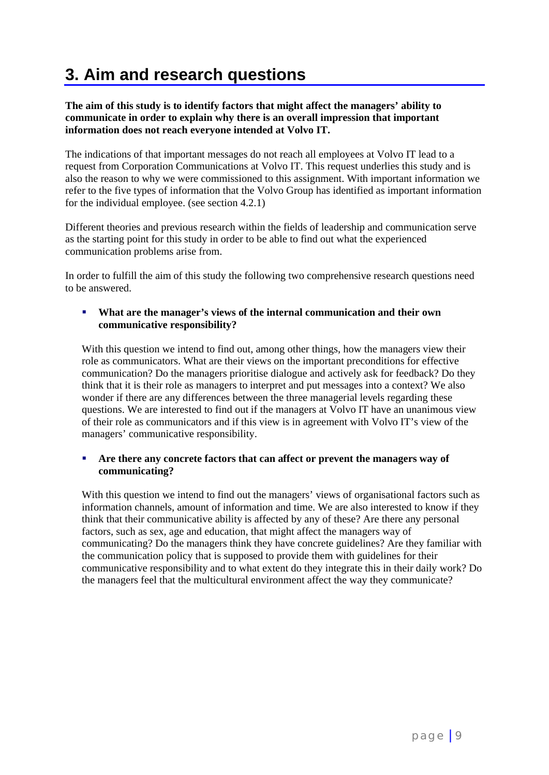# **3. Aim and research questions**

#### **The aim of this study is to identify factors that might affect the managers' ability to communicate in order to explain why there is an overall impression that important information does not reach everyone intended at Volvo IT.**

The indications of that important messages do not reach all employees at Volvo IT lead to a request from Corporation Communications at Volvo IT. This request underlies this study and is also the reason to why we were commissioned to this assignment. With important information we refer to the five types of information that the Volvo Group has identified as important information for the individual employee. (see section 4.2.1)

Different theories and previous research within the fields of leadership and communication serve as the starting point for this study in order to be able to find out what the experienced communication problems arise from.

In order to fulfill the aim of this study the following two comprehensive research questions need to be answered.

#### **What are the manager's views of the internal communication and their own communicative responsibility?**

With this question we intend to find out, among other things, how the managers view their role as communicators. What are their views on the important preconditions for effective communication? Do the managers prioritise dialogue and actively ask for feedback? Do they think that it is their role as managers to interpret and put messages into a context? We also wonder if there are any differences between the three managerial levels regarding these questions. We are interested to find out if the managers at Volvo IT have an unanimous view of their role as communicators and if this view is in agreement with Volvo IT's view of the managers' communicative responsibility.

#### **Are there any concrete factors that can affect or prevent the managers way of communicating?**

With this question we intend to find out the managers' views of organisational factors such as information channels, amount of information and time. We are also interested to know if they think that their communicative ability is affected by any of these? Are there any personal factors, such as sex, age and education, that might affect the managers way of communicating? Do the managers think they have concrete guidelines? Are they familiar with the communication policy that is supposed to provide them with guidelines for their communicative responsibility and to what extent do they integrate this in their daily work? Do the managers feel that the multicultural environment affect the way they communicate?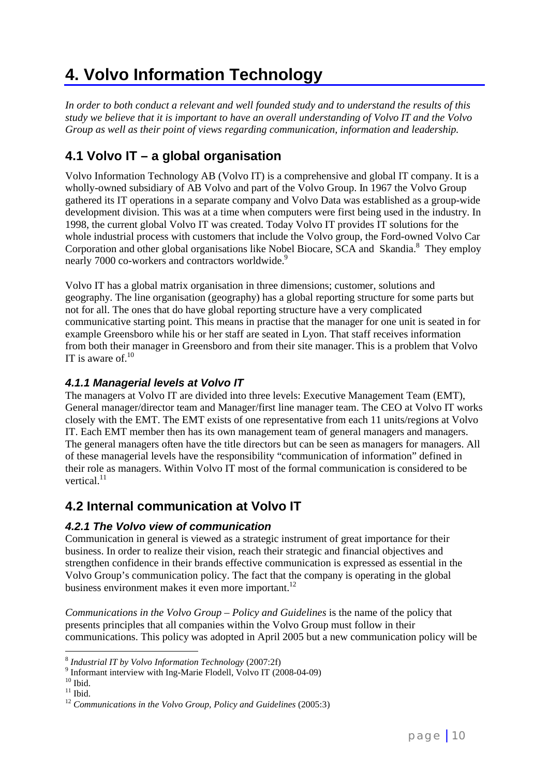# **4. Volvo Information Technology**

*In order to both conduct a relevant and well founded study and to understand the results of this study we believe that it is important to have an overall understanding of Volvo IT and the Volvo Group as well as their point of views regarding communication, information and leadership.*

### **4.1 Volvo IT – a global organisation**

Volvo Information Technology AB (Volvo IT) is a comprehensive and global IT company. It is a wholly-owned subsidiary of AB Volvo and part of the Volvo Group. In 1967 the Volvo Group gathered its IT operations in a separate company and Volvo Data was established as a group-wide development division. This was at a time when computers were first being used in the industry. In 1998, the current global Volvo IT was created. Today Volvo IT provides IT solutions for the whole industrial process with customers that include the Volvo group, the Ford-owned Volvo Car Corporation and other global organisations like Nobel Biocare, SCA and Skandia.<sup>8</sup> They employ nearly 7000 co-workers and contractors worldwide.<sup>9</sup>

Volvo IT has a global matrix organisation in three dimensions; customer, solutions and geography. The line organisation (geography) has a global reporting structure for some parts but not for all. The ones that do have global reporting structure have a very complicated communicative starting point. This means in practise that the manager for one unit is seated in for example Greensboro while his or her staff are seated in Lyon. That staff receives information from both their manager in Greensboro and from their site manager. This is a problem that Volvo IT is aware of. $10$ 

### *4.1.1 Managerial levels at Volvo IT*

The managers at Volvo IT are divided into three levels: Executive Management Team (EMT), General manager/director team and Manager/first line manager team. The CEO at Volvo IT works closely with the EMT. The EMT exists of one representative from each 11 units/regions at Volvo IT. Each EMT member then has its own management team of general managers and managers. The general managers often have the title directors but can be seen as managers for managers. All of these managerial levels have the responsibility "communication of information" defined in their role as managers. Within Volvo IT most of the formal communication is considered to be vertical. $11$ 

### **4.2 Internal communication at Volvo IT**

### *4.2.1 The Volvo view of communication*

Communication in general is viewed as a strategic instrument of great importance for their business. In order to realize their vision, reach their strategic and financial objectives and strengthen confidence in their brands effective communication is expressed as essential in the Volvo Group's communication policy. The fact that the company is operating in the global business environment makes it even more important. $^{12}$ 

*Communications in the Volvo Group – Policy and Guidelines* is the name of the policy that presents principles that all companies within the Volvo Group must follow in their communications. This policy was adopted in April 2005 but a new communication policy will be

 $\overline{a}$ 

<sup>&</sup>lt;sup>8</sup> *Industrial IT by Volvo Information Technology* (2007:2f)<br><sup>9</sup> Informant interview with Ing-Marie Flodell, Volvo IT (2008-04-09)<br><sup>10</sup> Ibid.

<sup>&</sup>lt;sup>11</sup> Ibid. <sup>12</sup> *Communications in the Volvo Group, Policy and Guidelines* (2005:3)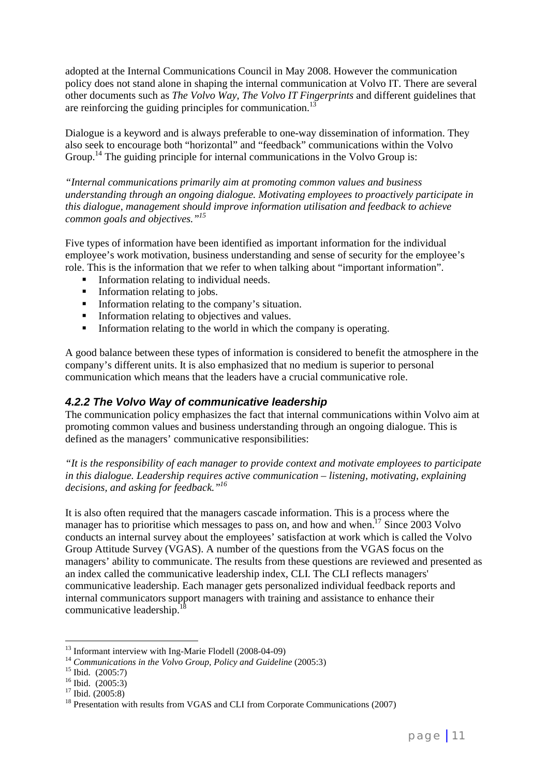adopted at the Internal Communications Council in May 2008. However the communication policy does not stand alone in shaping the internal communication at Volvo IT. There are several other documents such as *The Volvo Way*, *The Volvo IT Fingerprints* and different guidelines that are reinforcing the guiding principles for communication.<sup>13</sup>

Dialogue is a keyword and is always preferable to one-way dissemination of information. They also seek to encourage both "horizontal" and "feedback" communications within the Volvo Group.<sup>14</sup> The guiding principle for internal communications in the Volvo Group is:

*"Internal communications primarily aim at promoting common values and business understanding through an ongoing dialogue. Motivating employees to proactively participate in this dialogue, management should improve information utilisation and feedback to achieve common goals and objectives."15*

Five types of information have been identified as important information for the individual employee's work motivation, business understanding and sense of security for the employee's role. This is the information that we refer to when talking about "important information".

- Information relating to individual needs.
- **Information relating to jobs.**
- **Information relating to the company's situation.**
- **Information relating to objectives and values.**
- Information relating to the world in which the company is operating.

A good balance between these types of information is considered to benefit the atmosphere in the company's different units. It is also emphasized that no medium is superior to personal communication which means that the leaders have a crucial communicative role.

### *4.2.2 The Volvo Way of communicative leadership*

The communication policy emphasizes the fact that internal communications within Volvo aim at promoting common values and business understanding through an ongoing dialogue. This is defined as the managers' communicative responsibilities:

*"It is the responsibility of each manager to provide context and motivate employees to participate in this dialogue. Leadership requires active communication – listening, motivating, explaining decisions, and asking for feedback."16*

It is also often required that the managers cascade information. This is a process where the manager has to prioritise which messages to pass on, and how and when.<sup>17</sup> Since 2003 Volvo conducts an internal survey about the employees' satisfaction at work which is called the Volvo Group Attitude Survey (VGAS). A number of the questions from the VGAS focus on the managers' ability to communicate. The results from these questions are reviewed and presented as an index called the communicative leadership index, CLI. The CLI reflects managers' communicative leadership. Each manager gets personalized individual feedback reports and internal communicators support managers with training and assistance to enhance their communicative leadership.<sup>1</sup>

 $13$  Informant interview with Ing-Marie Flodell (2008-04-09)

<sup>&</sup>lt;sup>14</sup> Communications in the Volvo Group, Policy and Guideline (2005:3)<br><sup>15</sup> Ibid. (2005:7)<br><sup>16</sup> Ibid. (2005:3)<br><sup>17</sup> Ibid. (2005:8)<br><sup>18</sup> Presentation with results from VGAS and CLI from Corporate Communications (2007)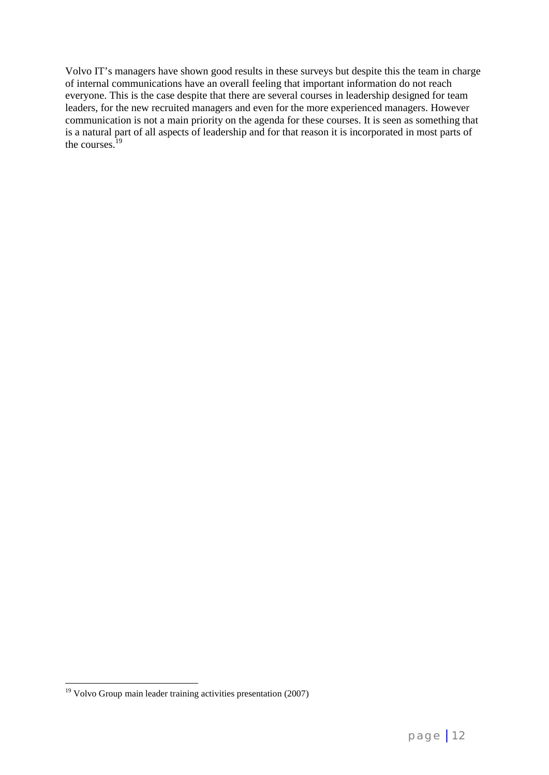Volvo IT's managers have shown good results in these surveys but despite this the team in charge of internal communications have an overall feeling that important information do not reach everyone. This is the case despite that there are several courses in leadership designed for team leaders, for the new recruited managers and even for the more experienced managers. However communication is not a main priority on the agenda for these courses. It is seen as something that is a natural part of all aspects of leadership and for that reason it is incorporated in most parts of the courses.<sup>19</sup>

 $19$  Volvo Group main leader training activities presentation (2007)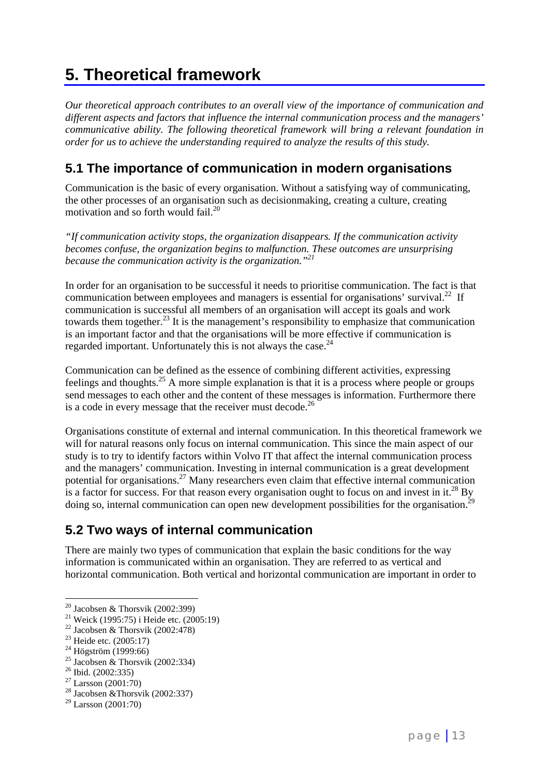# **5. Theoretical framework**

*Our theoretical approach contributes to an overall view of the importance of communication and different aspects and factors that influence the internal communication process and the managers' communicative ability. The following theoretical framework will bring a relevant foundation in order for us to achieve the understanding required to analyze the results of this study.* 

### **5.1 The importance of communication in modern organisations**

Communication is the basic of every organisation. Without a satisfying way of communicating, the other processes of an organisation such as decisionmaking, creating a culture, creating motivation and so forth would fail.<sup>20</sup>

*"If communication activity stops, the organization disappears. If the communication activity becomes confuse, the organization begins to malfunction. These outcomes are unsurprising because the communication activity is the organization."21*

In order for an organisation to be successful it needs to prioritise communication. The fact is that communication between employees and managers is essential for organisations' survival.<sup>22</sup> If communication is successful all members of an organisation will accept its goals and work towards them together.<sup>23</sup> It is the management's responsibility to emphasize that communication is an important factor and that the organisations will be more effective if communication is regarded important. Unfortunately this is not always the case.<sup>24</sup>

Communication can be defined as the essence of combining different activities, expressing feelings and thoughts.25 A more simple explanation is that it is a process where people or groups send messages to each other and the content of these messages is information. Furthermore there is a code in every message that the receiver must decode. $^{26}$ 

Organisations constitute of external and internal communication. In this theoretical framework we will for natural reasons only focus on internal communication. This since the main aspect of our study is to try to identify factors within Volvo IT that affect the internal communication process and the managers' communication. Investing in internal communication is a great development potential for organisations.<sup>27</sup> Many researchers even claim that effective internal communication is a factor for success. For that reason every organisation ought to focus on and invest in it.<sup>28</sup> By doing so, internal communication can open new development possibilities for the organisation.<sup>29</sup>

### **5.2 Two ways of internal communication**

There are mainly two types of communication that explain the basic conditions for the way information is communicated within an organisation. They are referred to as vertical and horizontal communication. Both vertical and horizontal communication are important in order to

 $\overline{a}$ <sup>20</sup> Jacobsen & Thorsvik (2002:399)

<sup>21</sup> Weick (1995:75) i Heide etc. (2005:19)

<sup>&</sup>lt;sup>22</sup> Jacobsen & Thorsvik (2002:478)

<sup>&</sup>lt;sup>23</sup> Heide etc. (2005:17)<br><sup>24</sup> Högström (1999:66)

<sup>&</sup>lt;sup>25</sup> Jacobsen & Thorsvik (2002:334)

<sup>26</sup> Ibid. (2002:335)

 $27$  Larsson (2001:70)

 $28$  Jacobsen & Thorsvik (2002:337)

<sup>29</sup> Larsson (2001:70)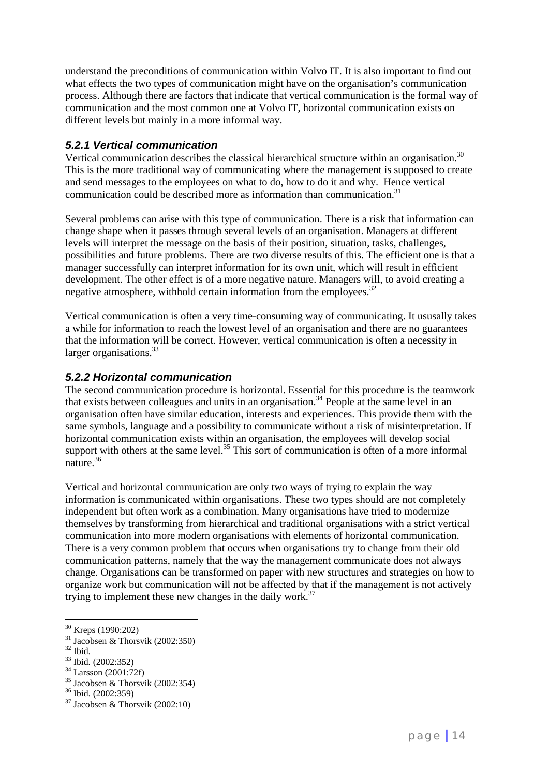understand the preconditions of communication within Volvo IT. It is also important to find out what effects the two types of communication might have on the organisation's communication process. Although there are factors that indicate that vertical communication is the formal way of communication and the most common one at Volvo IT, horizontal communication exists on different levels but mainly in a more informal way.

### *5.2.1 Vertical communication*

Vertical communication describes the classical hierarchical structure within an organisation.<sup>30</sup> This is the more traditional way of communicating where the management is supposed to create and send messages to the employees on what to do, how to do it and why. Hence vertical communication could be described more as information than communication.<sup>31</sup>

Several problems can arise with this type of communication. There is a risk that information can change shape when it passes through several levels of an organisation. Managers at different levels will interpret the message on the basis of their position, situation, tasks, challenges, possibilities and future problems. There are two diverse results of this. The efficient one is that a manager successfully can interpret information for its own unit, which will result in efficient development. The other effect is of a more negative nature. Managers will, to avoid creating a negative atmosphere, withhold certain information from the employees.<sup>32</sup>

Vertical communication is often a very time-consuming way of communicating. It ususally takes a while for information to reach the lowest level of an organisation and there are no guarantees that the information will be correct. However, vertical communication is often a necessity in larger organisations.<sup>33</sup>

### *5.2.2 Horizontal communication*

The second communication procedure is horizontal. Essential for this procedure is the teamwork that exists between colleagues and units in an organisation.<sup>34</sup> People at the same level in an organisation often have similar education, interests and experiences. This provide them with the same symbols, language and a possibility to communicate without a risk of misinterpretation. If horizontal communication exists within an organisation, the employees will develop social support with others at the same level.<sup>35</sup> This sort of communication is often of a more informal nature.36

Vertical and horizontal communication are only two ways of trying to explain the way information is communicated within organisations. These two types should are not completely independent but often work as a combination. Many organisations have tried to modernize themselves by transforming from hierarchical and traditional organisations with a strict vertical communication into more modern organisations with elements of horizontal communication. There is a very common problem that occurs when organisations try to change from their old communication patterns, namely that the way the management communicate does not always change. Organisations can be transformed on paper with new structures and strategies on how to organize work but communication will not be affected by that if the management is not actively trying to implement these new changes in the daily work.<sup>37</sup>

<sup>&</sup>lt;sup>30</sup> Kreps (1990:202)

 $31$  Jacobsen & Thorsvik (2002:350)

 $32$  Ibid.

<sup>33</sup> Ibid. (2002:352)

<sup>34</sup> Larsson (2001:72f)

<sup>35</sup> Jacobsen & Thorsvik (2002:354)

<sup>36</sup> Ibid. (2002:359)

 $37$  Jacobsen & Thorsvik (2002:10)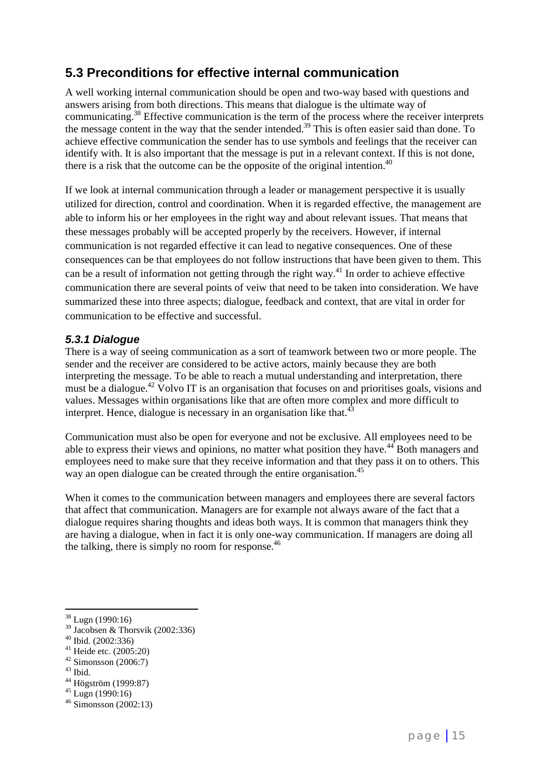### **5.3 Preconditions for effective internal communication**

A well working internal communication should be open and two-way based with questions and answers arising from both directions. This means that dialogue is the ultimate way of communicating.38 Effective communication is the term of the process where the receiver interprets the message content in the way that the sender intended.<sup>39</sup> This is often easier said than done. To achieve effective communication the sender has to use symbols and feelings that the receiver can identify with. It is also important that the message is put in a relevant context. If this is not done, there is a risk that the outcome can be the opposite of the original intention.<sup>40</sup>

If we look at internal communication through a leader or management perspective it is usually utilized for direction, control and coordination. When it is regarded effective, the management are able to inform his or her employees in the right way and about relevant issues. That means that these messages probably will be accepted properly by the receivers. However, if internal communication is not regarded effective it can lead to negative consequences. One of these consequences can be that employees do not follow instructions that have been given to them. This can be a result of information not getting through the right way.41 In order to achieve effective communication there are several points of veiw that need to be taken into consideration. We have summarized these into three aspects; dialogue, feedback and context, that are vital in order for communication to be effective and successful.

### *5.3.1 Dialogue*

There is a way of seeing communication as a sort of teamwork between two or more people. The sender and the receiver are considered to be active actors, mainly because they are both interpreting the message. To be able to reach a mutual understanding and interpretation, there must be a dialogue.<sup>42</sup> Volvo IT is an organisation that focuses on and prioritises goals, visions and values. Messages within organisations like that are often more complex and more difficult to interpret. Hence, dialogue is necessary in an organisation like that. $43$ 

Communication must also be open for everyone and not be exclusive. All employees need to be able to express their views and opinions, no matter what position they have.<sup>44</sup> Both managers and employees need to make sure that they receive information and that they pass it on to others. This way an open dialogue can be created through the entire organisation.<sup>45</sup>

When it comes to the communication between managers and employees there are several factors that affect that communication. Managers are for example not always aware of the fact that a dialogue requires sharing thoughts and ideas both ways. It is common that managers think they are having a dialogue, when in fact it is only one-way communication. If managers are doing all the talking, there is simply no room for response. $46$ 

- $41$  Heide etc. (2005:20)
- $42$  Simonsson (2006:7)
- $43$  Ibid.
- 44 Högström (1999:87)<br><sup>45</sup> Lugn (1990:16)<br><sup>46</sup> Simonsson (2002:13)

 $\overline{a}$  $38$  Lugn (1990:16)

 $39 \text{ Jacobsen}$  & Thorsvik (2002:336)

 $40$  Ibid. (2002:336)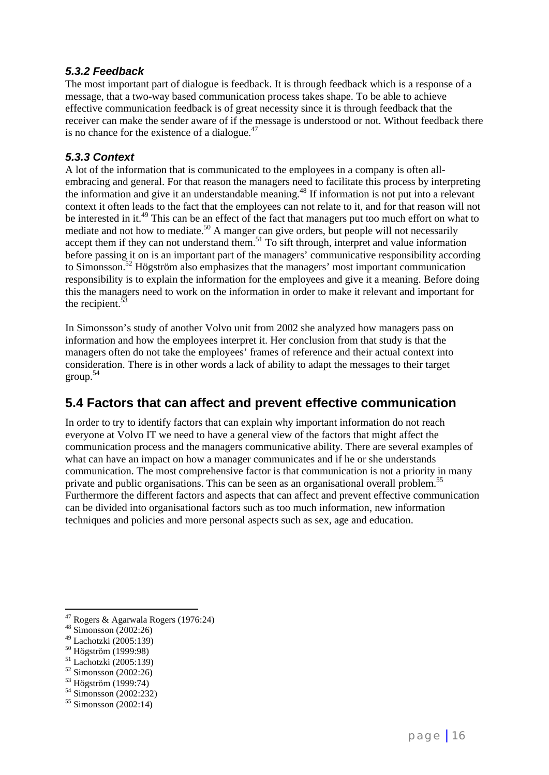### *5.3.2 Feedback*

The most important part of dialogue is feedback. It is through feedback which is a response of a message, that a two-way based communication process takes shape. To be able to achieve effective communication feedback is of great necessity since it is through feedback that the receiver can make the sender aware of if the message is understood or not. Without feedback there is no chance for the existence of a dialogue. $47$ 

### *5.3.3 Context*

A lot of the information that is communicated to the employees in a company is often allembracing and general. For that reason the managers need to facilitate this process by interpreting the information and give it an understandable meaning.<sup>48</sup> If information is not put into a relevant context it often leads to the fact that the employees can not relate to it, and for that reason will not be interested in it.<sup>49</sup> This can be an effect of the fact that managers put too much effort on what to mediate and not how to mediate.<sup>50</sup> A manger can give orders, but people will not necessarily accept them if they can not understand them.<sup>51</sup> To sift through, interpret and value information before passing it on is an important part of the managers' communicative responsibility according to Simonsson.<sup>52</sup> Högström also emphasizes that the managers' most important communication responsibility is to explain the information for the employees and give it a meaning. Before doing this the managers need to work on the information in order to make it relevant and important for the recipient. $53$ 

In Simonsson's study of another Volvo unit from 2002 she analyzed how managers pass on information and how the employees interpret it. Her conclusion from that study is that the managers often do not take the employees' frames of reference and their actual context into consideration. There is in other words a lack of ability to adapt the messages to their target group.<sup>54</sup>

### **5.4 Factors that can affect and prevent effective communication**

In order to try to identify factors that can explain why important information do not reach everyone at Volvo IT we need to have a general view of the factors that might affect the communication process and the managers communicative ability. There are several examples of what can have an impact on how a manager communicates and if he or she understands communication. The most comprehensive factor is that communication is not a priority in many private and public organisations. This can be seen as an organisational overall problem.55 Furthermore the different factors and aspects that can affect and prevent effective communication can be divided into organisational factors such as too much information, new information techniques and policies and more personal aspects such as sex, age and education.

 $\overline{a}$ 

53 Högström (1999:74)

 $47$  Rogers & Agarwala Rogers (1976:24)

 $48 \overline{\text{Simonsson}} (2002:26)$ <br> $49 \overline{\text{Lachotzki}} (2005:139)$ 

<sup>&</sup>lt;sup>50</sup> Högström (1999:98)<br><sup>51</sup> Lachotzki (2005:139)<br><sup>52</sup> Simonsson (2002:26)

 $54$  Simonsson (2002:232)

 $55$  Simonsson (2002:14)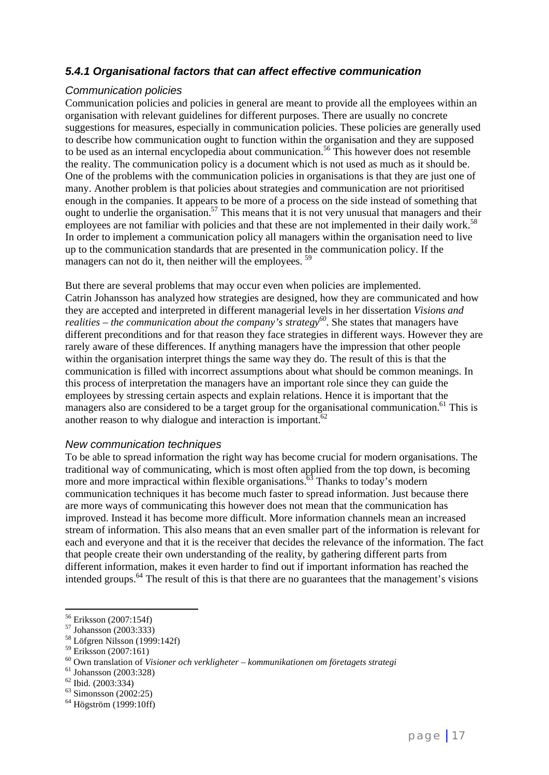### *5.4.1 Organisational factors that can affect effective communication*

#### *Communication policies*

Communication policies and policies in general are meant to provide all the employees within an organisation with relevant guidelines for different purposes. There are usually no concrete suggestions for measures, especially in communication policies. These policies are generally used to describe how communication ought to function within the organisation and they are supposed to be used as an internal encyclopedia about communication.<sup>56</sup> This however does not resemble the reality. The communication policy is a document which is not used as much as it should be. One of the problems with the communication policies in organisations is that they are just one of many. Another problem is that policies about strategies and communication are not prioritised enough in the companies. It appears to be more of a process on the side instead of something that ought to underlie the organisation.<sup>57</sup> This means that it is not very unusual that managers and their employees are not familiar with policies and that these are not implemented in their daily work.<sup>58</sup> In order to implement a communication policy all managers within the organisation need to live up to the communication standards that are presented in the communication policy. If the managers can not do it, then neither will the employees. <sup>59</sup>

But there are several problems that may occur even when policies are implemented. Catrin Johansson has analyzed how strategies are designed, how they are communicated and how they are accepted and interpreted in different managerial levels in her dissertation *Visions and realities – the communication about the company's strategy*<sup>60</sup>. She states that managers have different preconditions and for that reason they face strategies in different ways. However they are rarely aware of these differences. If anything managers have the impression that other people within the organisation interpret things the same way they do. The result of this is that the communication is filled with incorrect assumptions about what should be common meanings. In this process of interpretation the managers have an important role since they can guide the employees by stressing certain aspects and explain relations. Hence it is important that the managers also are considered to be a target group for the organisational communication.<sup>61</sup> This is another reason to why dialogue and interaction is important.<sup>62</sup>

#### *New communication techniques*

To be able to spread information the right way has become crucial for modern organisations. The traditional way of communicating, which is most often applied from the top down, is becoming more and more impractical within flexible organisations. $63$  Thanks to today's modern communication techniques it has become much faster to spread information. Just because there are more ways of communicating this however does not mean that the communication has improved. Instead it has become more difficult. More information channels mean an increased stream of information. This also means that an even smaller part of the information is relevant for each and everyone and that it is the receiver that decides the relevance of the information. The fact that people create their own understanding of the reality, by gathering different parts from different information, makes it even harder to find out if important information has reached the intended groups.<sup> $64$ </sup> The result of this is that there are no guarantees that the management's visions

 $58$  Löfgren Nilsson (1999:142f)

 $\overline{a}$ 56 Eriksson (2007:154f)

 $57$  Johansson (2003:333)

<sup>59</sup> Eriksson (2007:161)

<sup>60</sup> Own translation of *Visioner och verkligheter – kommunikationen om företagets strategi* 61 Johansson (2003:328)

<sup>62</sup> Ibid. (2003:334)

 $63$  Simonsson (2002:25)

 $64$  Högström (1999:10ff)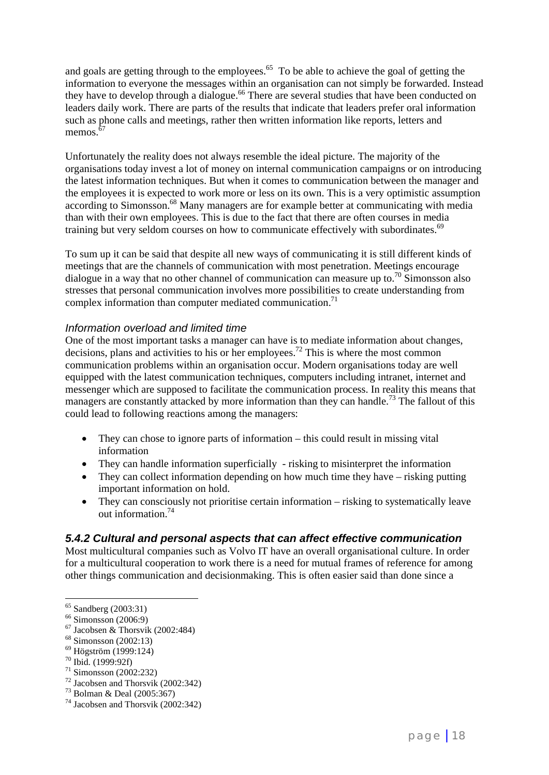and goals are getting through to the employees.<sup>65</sup> To be able to achieve the goal of getting the information to everyone the messages within an organisation can not simply be forwarded. Instead they have to develop through a dialogue.<sup>66</sup> There are several studies that have been conducted on leaders daily work. There are parts of the results that indicate that leaders prefer oral information such as phone calls and meetings, rather then written information like reports, letters and memos. $67$ 

Unfortunately the reality does not always resemble the ideal picture. The majority of the organisations today invest a lot of money on internal communication campaigns or on introducing the latest information techniques. But when it comes to communication between the manager and the employees it is expected to work more or less on its own. This is a very optimistic assumption according to Simonsson.<sup>68</sup> Many managers are for example better at communicating with media than with their own employees. This is due to the fact that there are often courses in media training but very seldom courses on how to communicate effectively with subordinates.<sup>69</sup>

To sum up it can be said that despite all new ways of communicating it is still different kinds of meetings that are the channels of communication with most penetration. Meetings encourage dialogue in a way that no other channel of communication can measure up to.<sup>70</sup> Simonsson also stresses that personal communication involves more possibilities to create understanding from complex information than computer mediated communication.<sup>71</sup>

### *Information overload and limited time*

One of the most important tasks a manager can have is to mediate information about changes, decisions, plans and activities to his or her employees.72 This is where the most common communication problems within an organisation occur. Modern organisations today are well equipped with the latest communication techniques, computers including intranet, internet and messenger which are supposed to facilitate the communication process. In reality this means that managers are constantly attacked by more information than they can handle.<sup>73</sup> The fallout of this could lead to following reactions among the managers:

- They can chose to ignore parts of information this could result in missing vital information
- They can handle information superficially risking to misinterpret the information
- They can collect information depending on how much time they have risking putting important information on hold.
- They can consciously not prioritise certain information risking to systematically leave out information<sup>74</sup>

### *5.4.2 Cultural and personal aspects that can affect effective communication*

Most multicultural companies such as Volvo IT have an overall organisational culture. In order for a multicultural cooperation to work there is a need for mutual frames of reference for among other things communication and decisionmaking. This is often easier said than done since a

<sup>65</sup> Sandberg (2003:31)

 $66$  Simonsson (2006:9)

 $67$  Jacobsen & Thorsvik (2002:484)

<sup>68</sup> Simonsson (2002:13)

<sup>69</sup> Högström (1999:124)

<sup>70</sup> Ibid. (1999:92f)

 $71$  Simonsson (2002:232)

 $72$  Jacobsen and Thorsvik (2002:342)

<sup>73</sup> Bolman & Deal (2005:367)

<sup>74</sup> Jacobsen and Thorsvik (2002:342)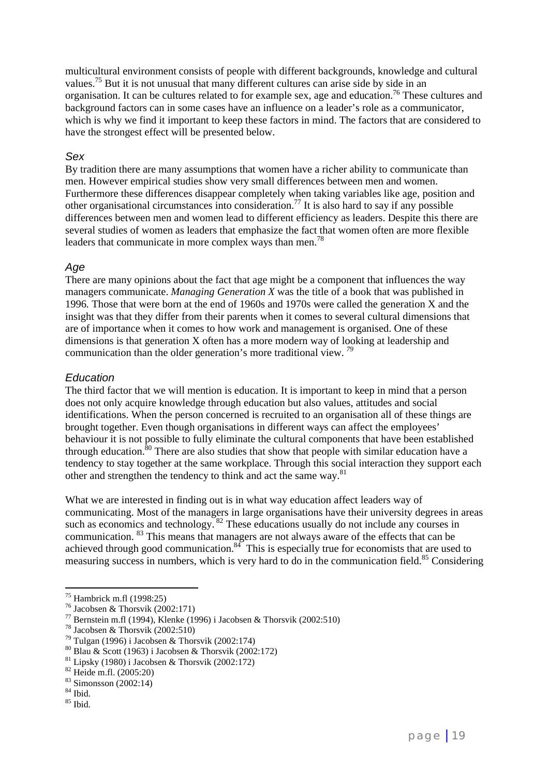multicultural environment consists of people with different backgrounds, knowledge and cultural values.75 But it is not unusual that many different cultures can arise side by side in an organisation. It can be cultures related to for example sex, age and education.76 These cultures and background factors can in some cases have an influence on a leader's role as a communicator, which is why we find it important to keep these factors in mind. The factors that are considered to have the strongest effect will be presented below.

#### *Sex*

By tradition there are many assumptions that women have a richer ability to communicate than men. However empirical studies show very small differences between men and women. Furthermore these differences disappear completely when taking variables like age, position and other organisational circumstances into consideration.<sup>77</sup> It is also hard to say if any possible differences between men and women lead to different efficiency as leaders. Despite this there are several studies of women as leaders that emphasize the fact that women often are more flexible leaders that communicate in more complex ways than men.<sup>78</sup>

### *Age*

There are many opinions about the fact that age might be a component that influences the way managers communicate. *Managing Generation X* was the title of a book that was published in 1996*.* Those that were born at the end of 1960s and 1970s were called the generation X and the insight was that they differ from their parents when it comes to several cultural dimensions that are of importance when it comes to how work and management is organised. One of these dimensions is that generation X often has a more modern way of looking at leadership and communication than the older generation's more traditional view. *<sup>79</sup>*

### *Education*

The third factor that we will mention is education. It is important to keep in mind that a person does not only acquire knowledge through education but also values, attitudes and social identifications. When the person concerned is recruited to an organisation all of these things are brought together. Even though organisations in different ways can affect the employees' behaviour it is not possible to fully eliminate the cultural components that have been established through education.<sup>80</sup> There are also studies that show that people with similar education have a tendency to stay together at the same workplace. Through this social interaction they support each other and strengthen the tendency to think and act the same way.<sup>81</sup>

What we are interested in finding out is in what way education affect leaders way of communicating. Most of the managers in large organisations have their university degrees in areas such as economics and technology.  $82$  These educations usually do not include any courses in communication. 83 This means that managers are not always aware of the effects that can be achieved through good communication.<sup>84</sup> This is especially true for economists that are used to measuring success in numbers, which is very hard to do in the communication field.<sup>85</sup> Considering

 $^{75}$  Hambrick m.fl (1998:25)

<sup>&</sup>lt;sup>76</sup> Jacobsen & Thorsvik (2002:171)

<sup>&</sup>lt;sup>77</sup> Bernstein m.fl (1994), Klenke (1996) i Jacobsen & Thorsvik (2002:510)

<sup>78</sup> Jacobsen & Thorsvik (2002:510)

 $79$  Tulgan (1996) i Jacobsen & Thorsvik (2002:174)

<sup>80</sup> Blau & Scott (1963) i Jacobsen & Thorsvik (2002:172)

 $81$  Lipsky (1980) i Jacobsen & Thorsvik (2002:172)

<sup>82</sup> Heide m.fl. (2005:20)

<sup>83</sup> Simonsson (2002:14)

<sup>84</sup> Ibid.

<sup>85</sup> Ibid.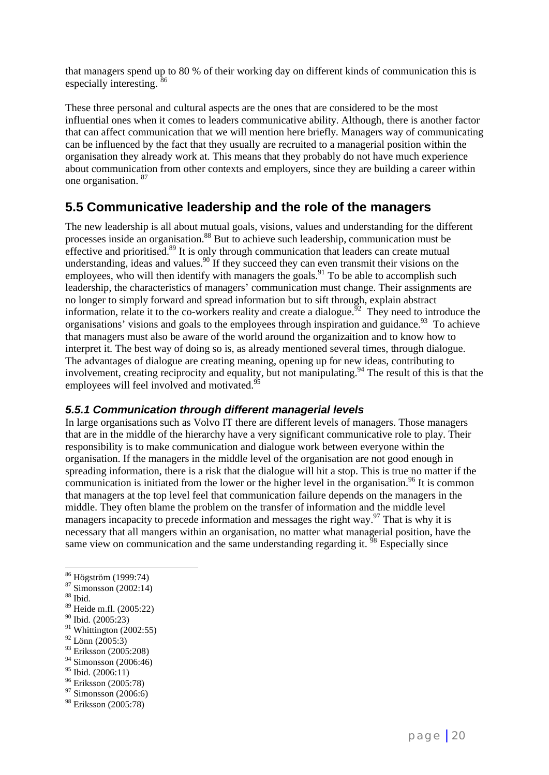that managers spend up to 80 % of their working day on different kinds of communication this is especially interesting.  $86$ 

These three personal and cultural aspects are the ones that are considered to be the most influential ones when it comes to leaders communicative ability. Although, there is another factor that can affect communication that we will mention here briefly. Managers way of communicating can be influenced by the fact that they usually are recruited to a managerial position within the organisation they already work at. This means that they probably do not have much experience about communication from other contexts and employers, since they are building a career within one organisation. 87

### **5.5 Communicative leadership and the role of the managers**

The new leadership is all about mutual goals, visions, values and understanding for the different processes inside an organisation.88 But to achieve such leadership, communication must be effective and prioritised.<sup>89</sup> It is only through communication that leaders can create mutual understanding, ideas and values.<sup>90</sup> If they succeed they can even transmit their visions on the employees, who will then identify with managers the goals.<sup>91</sup> To be able to accomplish such leadership, the characteristics of managers' communication must change. Their assignments are no longer to simply forward and spread information but to sift through, explain abstract information, relate it to the co-workers reality and create a dialogue.<sup> $52$ </sup> They need to introduce the organisations' visions and goals to the employees through inspiration and guidance.<sup>93</sup> To achieve that managers must also be aware of the world around the organizaition and to know how to interpret it. The best way of doing so is, as already mentioned several times, through dialogue. The advantages of dialogue are creating meaning, opening up for new ideas, contributing to involvement, creating reciprocity and equality, but not manipulating.<sup>94</sup> The result of this is that the employees will feel involved and motivated.<sup>95</sup>

### *5.5.1 Communication through different managerial levels*

In large organisations such as Volvo IT there are different levels of managers. Those managers that are in the middle of the hierarchy have a very significant communicative role to play. Their responsibility is to make communication and dialogue work between everyone within the organisation. If the managers in the middle level of the organisation are not good enough in spreading information, there is a risk that the dialogue will hit a stop. This is true no matter if the communication is initiated from the lower or the higher level in the organisation.<sup>96</sup> It is common that managers at the top level feel that communication failure depends on the managers in the middle. They often blame the problem on the transfer of information and the middle level managers incapacity to precede information and messages the right way.97 That is why it is necessary that all mangers within an organisation, no matter what managerial position, have the same view on communication and the same understanding regarding it.  $\frac{98}{98}$  Especially since

 $\overline{a}$ 

- $91$  Whittington (2002:55)
- $92$  Lönn (2005:3)
- <sup>93</sup> Eriksson (2005:208)
- 94 Simonsson (2006:46)
- $95$  Ibid. (2006:11)
- 96 Eriksson (2005:78)

<sup>98</sup> Eriksson (2005:78)

<sup>86</sup> Högström (1999:74)

<sup>87</sup> Simonsson (2002:14)

 $^{\,88}$  Ibid.

<sup>89</sup> Heide m.fl. (2005:22)

<sup>90</sup> Ibid. (2005:23)

<sup>97</sup> Simonsson (2006:6)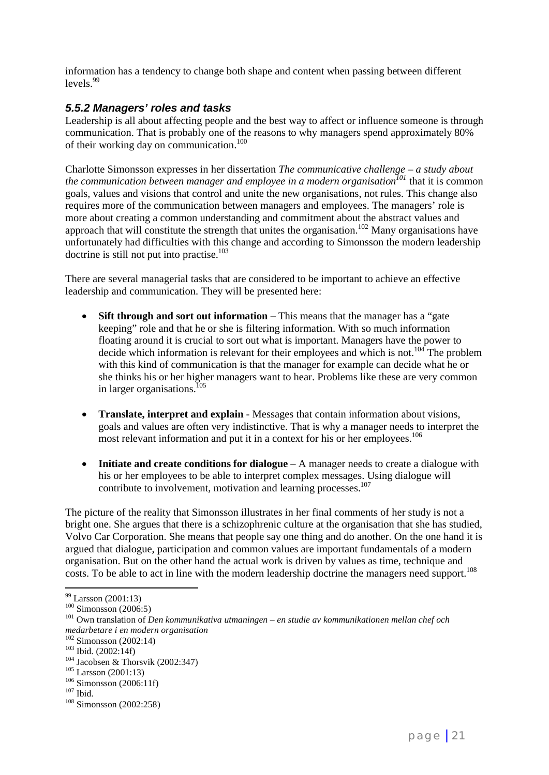information has a tendency to change both shape and content when passing between different  $levels<sup>99</sup>$ 

### *5.5.2 Managers' roles and tasks*

Leadership is all about affecting people and the best way to affect or influence someone is through communication. That is probably one of the reasons to why managers spend approximately 80% of their working day on communication.<sup>100</sup>

Charlotte Simonsson expresses in her dissertation *The communicative challenge – a study about the communication between manager and employee in a modern organisation<sup>101</sup> that it is common* goals, values and visions that control and unite the new organisations, not rules. This change also requires more of the communication between managers and employees. The managers' role is more about creating a common understanding and commitment about the abstract values and approach that will constitute the strength that unites the organisation.<sup>102</sup> Many organisations have unfortunately had difficulties with this change and according to Simonsson the modern leadership doctrine is still not put into practise. $103$ 

There are several managerial tasks that are considered to be important to achieve an effective leadership and communication. They will be presented here:

- Sift through and sort out information This means that the manager has a "gate" keeping" role and that he or she is filtering information. With so much information floating around it is crucial to sort out what is important. Managers have the power to decide which information is relevant for their employees and which is not.<sup>104</sup> The problem with this kind of communication is that the manager for example can decide what he or she thinks his or her higher managers want to hear. Problems like these are very common in larger organisations.<sup>105</sup>
- **Translate, interpret and explain**  Messages that contain information about visions, goals and values are often very indistinctive. That is why a manager needs to interpret the most relevant information and put it in a context for his or her employees.<sup>106</sup>
- **Initiate and create conditions for dialogue**  A manager needs to create a dialogue with his or her employees to be able to interpret complex messages. Using dialogue will contribute to involvement, motivation and learning processes.<sup>107</sup>

The picture of the reality that Simonsson illustrates in her final comments of her study is not a bright one. She argues that there is a schizophrenic culture at the organisation that she has studied, Volvo Car Corporation. She means that people say one thing and do another. On the one hand it is argued that dialogue, participation and common values are important fundamentals of a modern organisation. But on the other hand the actual work is driven by values as time, technique and costs. To be able to act in line with the modern leadership doctrine the managers need support.<sup>108</sup>

<sup>&</sup>lt;sup>99</sup> Larsson (2001:13)<br><sup>100</sup> Simonsson (2006:5)

<sup>&</sup>lt;sup>101</sup> Own translation of *Den kommunikativa utmaningen – en studie av kommunikationen mellan chef och medarbetare i en modern organisation*

<sup>&</sup>lt;sup>103</sup> Ibid. (2002:14f)<br><sup>104</sup> Jacobsen & Thorsvik (2002:347)<br><sup>105</sup> Larsson (2001:13)<br><sup>106</sup> Simonsson (2006:11f)<br><sup>107</sup> Ibid.<br><sup>108</sup> Simonsson (2002:258)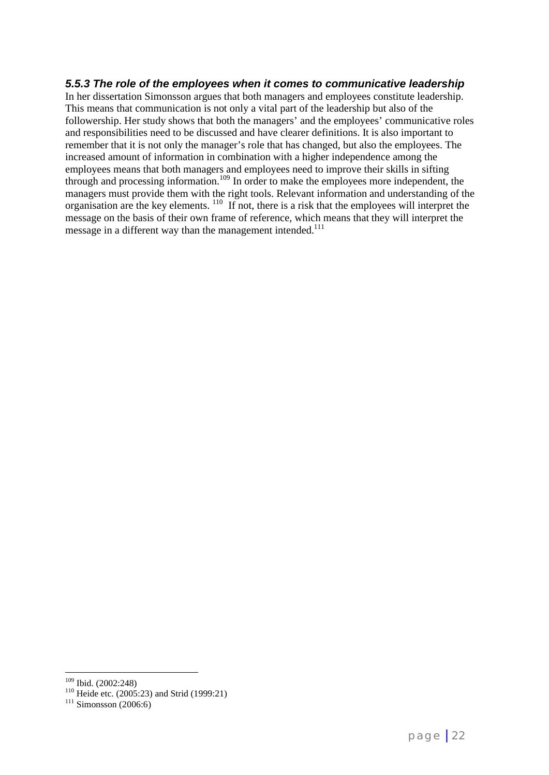### *5.5.3 The role of the employees when it comes to communicative leadership*

In her dissertation Simonsson argues that both managers and employees constitute leadership. This means that communication is not only a vital part of the leadership but also of the followership. Her study shows that both the managers' and the employees' communicative roles and responsibilities need to be discussed and have clearer definitions. It is also important to remember that it is not only the manager's role that has changed, but also the employees. The increased amount of information in combination with a higher independence among the employees means that both managers and employees need to improve their skills in sifting through and processing information.<sup>109</sup> In order to make the employees more independent, the managers must provide them with the right tools. Relevant information and understanding of the organisation are the key elements. <sup>110</sup> If not, there is a risk that the employees will interpret the message on the basis of their own frame of reference, which means that they will interpret the message in a different way than the management intended.<sup>111</sup>

<sup>&</sup>lt;sup>109</sup> Ibid. (2002:248)<br><sup>110</sup> Heide etc. (2005:23) and Strid (1999:21)<br><sup>111</sup> Simonsson (2006:6)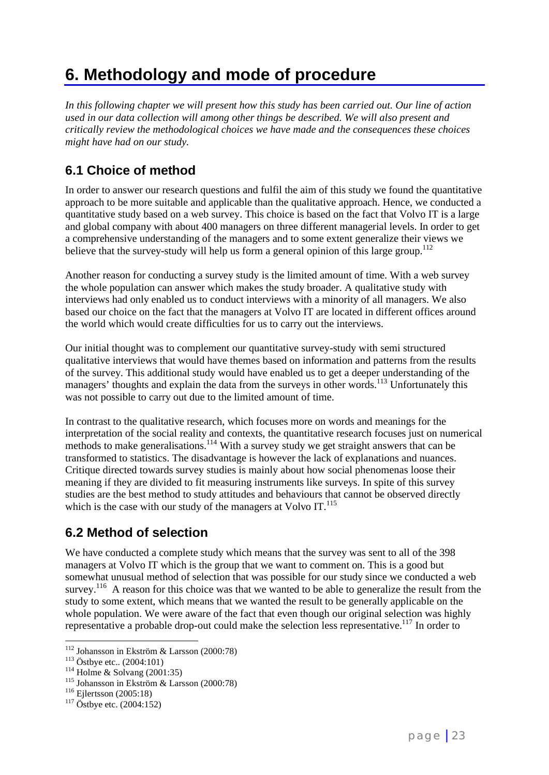# **6. Methodology and mode of procedure**

*In this following chapter we will present how this study has been carried out. Our line of action used in our data collection will among other things be described. We will also present and critically review the methodological choices we have made and the consequences these choices might have had on our study.*

### **6.1 Choice of method**

In order to answer our research questions and fulfil the aim of this study we found the quantitative approach to be more suitable and applicable than the qualitative approach. Hence, we conducted a quantitative study based on a web survey. This choice is based on the fact that Volvo IT is a large and global company with about 400 managers on three different managerial levels. In order to get a comprehensive understanding of the managers and to some extent generalize their views we believe that the survey-study will help us form a general opinion of this large group.<sup>112</sup>

Another reason for conducting a survey study is the limited amount of time. With a web survey the whole population can answer which makes the study broader. A qualitative study with interviews had only enabled us to conduct interviews with a minority of all managers. We also based our choice on the fact that the managers at Volvo IT are located in different offices around the world which would create difficulties for us to carry out the interviews.

Our initial thought was to complement our quantitative survey-study with semi structured qualitative interviews that would have themes based on information and patterns from the results of the survey. This additional study would have enabled us to get a deeper understanding of the managers' thoughts and explain the data from the surveys in other words.<sup>113</sup> Unfortunately this was not possible to carry out due to the limited amount of time.

In contrast to the qualitative research, which focuses more on words and meanings for the interpretation of the social reality and contexts, the quantitative research focuses just on numerical methods to make generalisations.<sup>114</sup> With a survey study we get straight answers that can be transformed to statistics. The disadvantage is however the lack of explanations and nuances. Critique directed towards survey studies is mainly about how social phenomenas loose their meaning if they are divided to fit measuring instruments like surveys. In spite of this survey studies are the best method to study attitudes and behaviours that cannot be observed directly which is the case with our study of the managers at Volvo IT.<sup>115</sup>

### **6.2 Method of selection**

We have conducted a complete study which means that the survey was sent to all of the 398 managers at Volvo IT which is the group that we want to comment on. This is a good but somewhat unusual method of selection that was possible for our study since we conducted a web survey.<sup>116</sup> A reason for this choice was that we wanted to be able to generalize the result from the study to some extent, which means that we wanted the result to be generally applicable on the whole population. We were aware of the fact that even though our original selection was highly representative a probable drop-out could make the selection less representative.117 In order to

<sup>&</sup>lt;sup>112</sup> Johansson in Ekström & Larsson (2000:78)

<sup>&</sup>lt;sup>113</sup> Östbye etc.. (2004:101)<br><sup>114</sup> Holme & Solvang (2001:35)<br><sup>115</sup> Johansson in Ekström & Larsson (2000:78)<br><sup>116</sup> Ejlertsson (2005:18)<br><sup>117</sup> Östbye etc. (2004:152)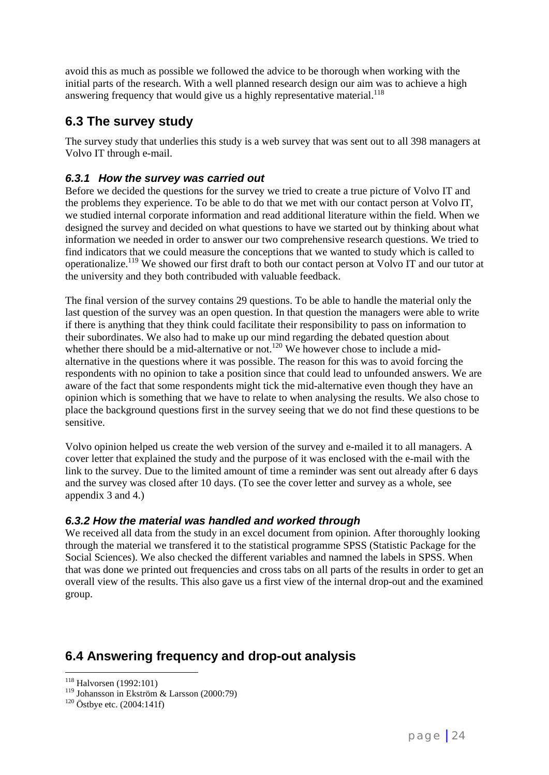avoid this as much as possible we followed the advice to be thorough when working with the initial parts of the research. With a well planned research design our aim was to achieve a high answering frequency that would give us a highly representative material.<sup>118</sup>

### **6.3 The survey study**

The survey study that underlies this study is a web survey that was sent out to all 398 managers at Volvo IT through e-mail.

### *6.3.1 How the survey was carried out*

Before we decided the questions for the survey we tried to create a true picture of Volvo IT and the problems they experience. To be able to do that we met with our contact person at Volvo IT, we studied internal corporate information and read additional literature within the field. When we designed the survey and decided on what questions to have we started out by thinking about what information we needed in order to answer our two comprehensive research questions. We tried to find indicators that we could measure the conceptions that we wanted to study which is called to operationalize.119 We showed our first draft to both our contact person at Volvo IT and our tutor at the university and they both contribuded with valuable feedback.

The final version of the survey contains 29 questions. To be able to handle the material only the last question of the survey was an open question. In that question the managers were able to write if there is anything that they think could facilitate their responsibility to pass on information to their subordinates. We also had to make up our mind regarding the debated question about whether there should be a mid-alternative or not.<sup>120</sup> We however chose to include a midalternative in the questions where it was possible. The reason for this was to avoid forcing the respondents with no opinion to take a position since that could lead to unfounded answers. We are aware of the fact that some respondents might tick the mid-alternative even though they have an opinion which is something that we have to relate to when analysing the results. We also chose to place the background questions first in the survey seeing that we do not find these questions to be sensitive.

Volvo opinion helped us create the web version of the survey and e-mailed it to all managers. A cover letter that explained the study and the purpose of it was enclosed with the e-mail with the link to the survey. Due to the limited amount of time a reminder was sent out already after 6 days and the survey was closed after 10 days. (To see the cover letter and survey as a whole, see appendix 3 and 4.)

### *6.3.2 How the material was handled and worked through*

We received all data from the study in an excel document from opinion. After thoroughly looking through the material we transfered it to the statistical programme SPSS (Statistic Package for the Social Sciences). We also checked the different variables and namned the labels in SPSS. When that was done we printed out frequencies and cross tabs on all parts of the results in order to get an overall view of the results. This also gave us a first view of the internal drop-out and the examined group.

### **6.4 Answering frequency and drop-out analysis**

<sup>&</sup>lt;sup>118</sup> Halvorsen (1992:101)

<sup>&</sup>lt;sup>119</sup> Johansson in Ekström & Larsson (2000:79)<sup>120</sup> Östbye etc. (2004:141f)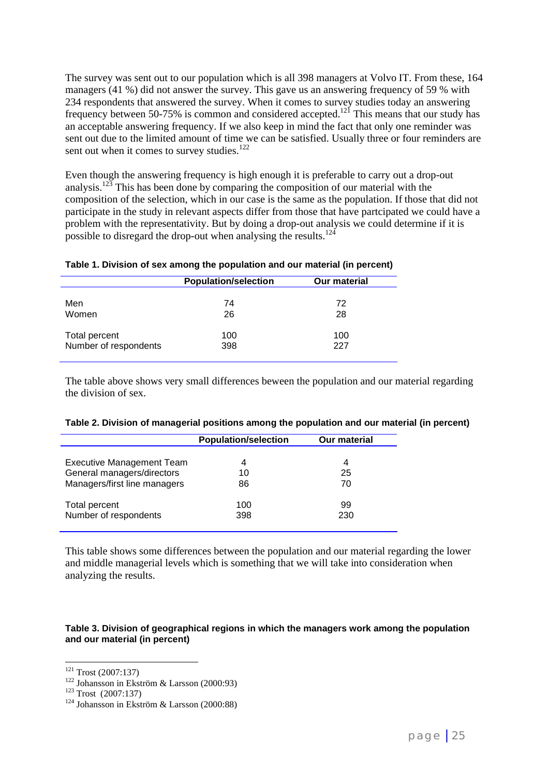The survey was sent out to our population which is all 398 managers at Volvo IT. From these, 164 managers (41 %) did not answer the survey. This gave us an answering frequency of 59 % with 234 respondents that answered the survey. When it comes to survey studies today an answering frequency between 50-75% is common and considered accepted.<sup>121</sup> This means that our study has an acceptable answering frequency. If we also keep in mind the fact that only one reminder was sent out due to the limited amount of time we can be satisfied. Usually three or four reminders are sent out when it comes to survey studies.<sup>122</sup>

Even though the answering frequency is high enough it is preferable to carry out a drop-out analysis.<sup>123</sup> This has been done by comparing the composition of our material with the composition of the selection, which in our case is the same as the population. If those that did not participate in the study in relevant aspects differ from those that have partcipated we could have a problem with the representativity. But by doing a drop-out analysis we could determine if it is possible to disregard the drop-out when analysing the results.<sup>124</sup>

#### **Table 1. Division of sex among the population and our material (in percent)**

|                       | <b>Population/selection</b> | <b>Our material</b> |  |
|-----------------------|-----------------------------|---------------------|--|
|                       |                             |                     |  |
| Men                   | 74                          | 72                  |  |
| Women                 | 26                          | 28                  |  |
| Total percent         | 100                         | 100                 |  |
| Number of respondents | 398                         | 227                 |  |
|                       |                             |                     |  |

The table above shows very small differences beween the population and our material regarding the division of sex.

| Table 2. Division of managerial positions among the population and our material (in percent) |  |
|----------------------------------------------------------------------------------------------|--|
|                                                                                              |  |

|                              | <b>Population/selection</b> | <b>Our material</b> |  |
|------------------------------|-----------------------------|---------------------|--|
| Executive Management Team    | 4                           | 4                   |  |
| General managers/directors   | 10                          | 25                  |  |
| Managers/first line managers | 86                          | 70                  |  |
| Total percent                | 100                         | 99                  |  |
| Number of respondents        | 398                         | 230                 |  |

This table shows some differences between the population and our material regarding the lower and middle managerial levels which is something that we will take into consideration when analyzing the results.

#### **Table 3. Division of geographical regions in which the managers work among the population and our material (in percent)**

 $121$  Trost (2007:137)

<sup>&</sup>lt;sup>122</sup> Johansson in Ekström & Larsson (2000:93)<br><sup>123</sup> Trost (2007:137)<br><sup>124</sup> Johansson in Ekström & Larsson (2000:88)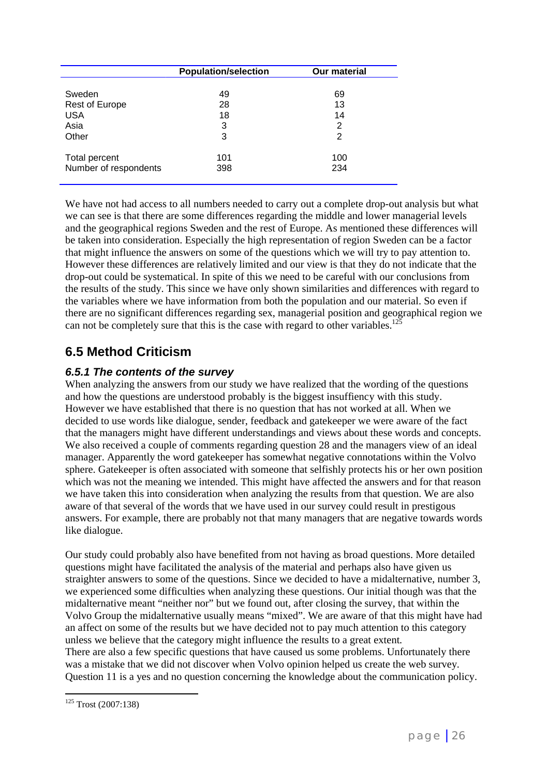|                       | <b>Population/selection</b> | <b>Our material</b> |
|-----------------------|-----------------------------|---------------------|
|                       |                             |                     |
| Sweden                | 49                          | 69                  |
| <b>Rest of Europe</b> | 28                          | 13                  |
| <b>USA</b>            | 18                          | 14                  |
| Asia                  | 3                           | 2                   |
| Other                 | 3                           | 2                   |
|                       |                             |                     |
| Total percent         | 101                         | 100                 |
| Number of respondents | 398                         | 234                 |
|                       |                             |                     |

We have not had access to all numbers needed to carry out a complete drop-out analysis but what we can see is that there are some differences regarding the middle and lower managerial levels and the geographical regions Sweden and the rest of Europe. As mentioned these differences will be taken into consideration. Especially the high representation of region Sweden can be a factor that might influence the answers on some of the questions which we will try to pay attention to. However these differences are relatively limited and our view is that they do not indicate that the drop-out could be systematical. In spite of this we need to be careful with our conclusions from the results of the study. This since we have only shown similarities and differences with regard to the variables where we have information from both the population and our material. So even if there are no significant differences regarding sex, managerial position and geographical region we can not be completely sure that this is the case with regard to other variables.<sup>125</sup>

### **6.5 Method Criticism**

### *6.5.1 The contents of the survey*

When analyzing the answers from our study we have realized that the wording of the questions and how the questions are understood probably is the biggest insuffiency with this study. However we have established that there is no question that has not worked at all. When we decided to use words like dialogue, sender, feedback and gatekeeper we were aware of the fact that the managers might have different understandings and views about these words and concepts. We also received a couple of comments regarding question 28 and the managers view of an ideal manager. Apparently the word gatekeeper has somewhat negative connotations within the Volvo sphere. Gatekeeper is often associated with someone that selfishly protects his or her own position which was not the meaning we intended. This might have affected the answers and for that reason we have taken this into consideration when analyzing the results from that question. We are also aware of that several of the words that we have used in our survey could result in prestigous answers. For example, there are probably not that many managers that are negative towards words like dialogue.

Our study could probably also have benefited from not having as broad questions. More detailed questions might have facilitated the analysis of the material and perhaps also have given us straighter answers to some of the questions. Since we decided to have a midalternative, number 3, we experienced some difficulties when analyzing these questions. Our initial though was that the midalternative meant "neither nor" but we found out, after closing the survey, that within the Volvo Group the midalternative usually means "mixed". We are aware of that this might have had an affect on some of the results but we have decided not to pay much attention to this category unless we believe that the category might influence the results to a great extent. There are also a few specific questions that have caused us some problems. Unfortunately there was a mistake that we did not discover when Volvo opinion helped us create the web survey. Question 11 is a yes and no question concerning the knowledge about the communication policy.

 $\overline{a}$ <sup>125</sup> Trost (2007:138)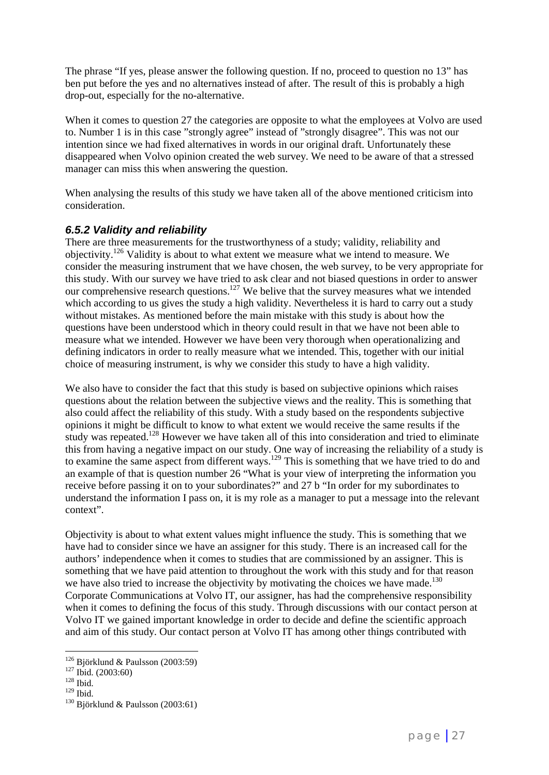The phrase "If yes, please answer the following question. If no, proceed to question no 13" has ben put before the yes and no alternatives instead of after. The result of this is probably a high drop-out, especially for the no-alternative.

When it comes to question 27 the categories are opposite to what the employees at Volvo are used to. Number 1 is in this case "strongly agree" instead of "strongly disagree". This was not our intention since we had fixed alternatives in words in our original draft. Unfortunately these disappeared when Volvo opinion created the web survey. We need to be aware of that a stressed manager can miss this when answering the question.

When analysing the results of this study we have taken all of the above mentioned criticism into consideration.

### *6.5.2 Validity and reliability*

There are three measurements for the trustworthyness of a study; validity, reliability and objectivity.126 Validity is about to what extent we measure what we intend to measure. We consider the measuring instrument that we have chosen, the web survey, to be very appropriate for this study. With our survey we have tried to ask clear and not biased questions in order to answer our comprehensive research questions.127 We belive that the survey measures what we intended which according to us gives the study a high validity. Nevertheless it is hard to carry out a study without mistakes. As mentioned before the main mistake with this study is about how the questions have been understood which in theory could result in that we have not been able to measure what we intended. However we have been very thorough when operationalizing and defining indicators in order to really measure what we intended. This, together with our initial choice of measuring instrument, is why we consider this study to have a high validity.

We also have to consider the fact that this study is based on subjective opinions which raises questions about the relation between the subjective views and the reality. This is something that also could affect the reliability of this study. With a study based on the respondents subjective opinions it might be difficult to know to what extent we would receive the same results if the study was repeated.<sup>128</sup> However we have taken all of this into consideration and tried to eliminate this from having a negative impact on our study. One way of increasing the reliability of a study is to examine the same aspect from different ways.<sup>129</sup> This is something that we have tried to do and an example of that is question number 26 "What is your view of interpreting the information you receive before passing it on to your subordinates?" and 27 b "In order for my subordinates to understand the information I pass on, it is my role as a manager to put a message into the relevant context".

Objectivity is about to what extent values might influence the study. This is something that we have had to consider since we have an assigner for this study. There is an increased call for the authors' independence when it comes to studies that are commissioned by an assigner. This is something that we have paid attention to throughout the work with this study and for that reason we have also tried to increase the objectivity by motivating the choices we have made.<sup>130</sup> Corporate Communications at Volvo IT, our assigner, has had the comprehensive responsibility when it comes to defining the focus of this study. Through discussions with our contact person at Volvo IT we gained important knowledge in order to decide and define the scientific approach and aim of this study. Our contact person at Volvo IT has among other things contributed with

<sup>&</sup>lt;sup>126</sup> Björklund & Paulsson (2003:59)<br><sup>127</sup> Ibid. (2003:60)<br><sup>128</sup> Ibid.

<sup>128</sup> Ibid.<br>
129 Ibid.<br>
130 Björklund & Paulsson (2003:61)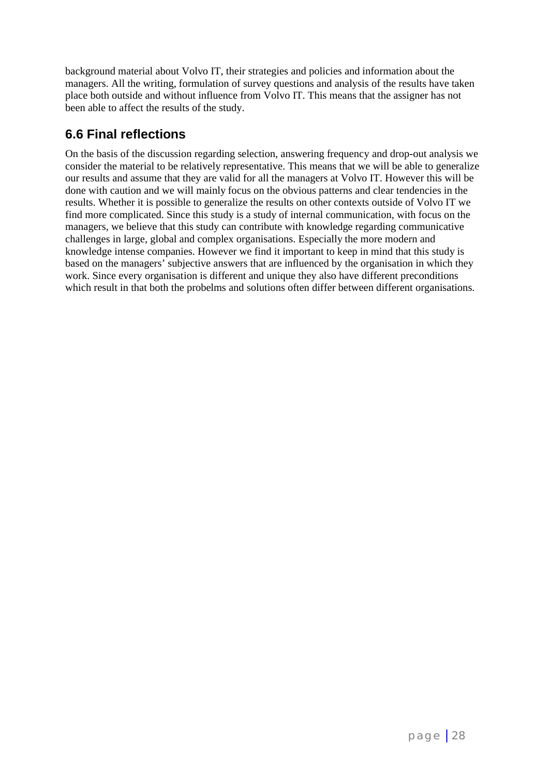background material about Volvo IT, their strategies and policies and information about the managers. All the writing, formulation of survey questions and analysis of the results have taken place both outside and without influence from Volvo IT. This means that the assigner has not been able to affect the results of the study.

### **6.6 Final reflections**

On the basis of the discussion regarding selection, answering frequency and drop-out analysis we consider the material to be relatively representative. This means that we will be able to generalize our results and assume that they are valid for all the managers at Volvo IT. However this will be done with caution and we will mainly focus on the obvious patterns and clear tendencies in the results. Whether it is possible to generalize the results on other contexts outside of Volvo IT we find more complicated. Since this study is a study of internal communication, with focus on the managers, we believe that this study can contribute with knowledge regarding communicative challenges in large, global and complex organisations. Especially the more modern and knowledge intense companies. However we find it important to keep in mind that this study is based on the managers' subjective answers that are influenced by the organisation in which they work. Since every organisation is different and unique they also have different preconditions which result in that both the probelms and solutions often differ between different organisations.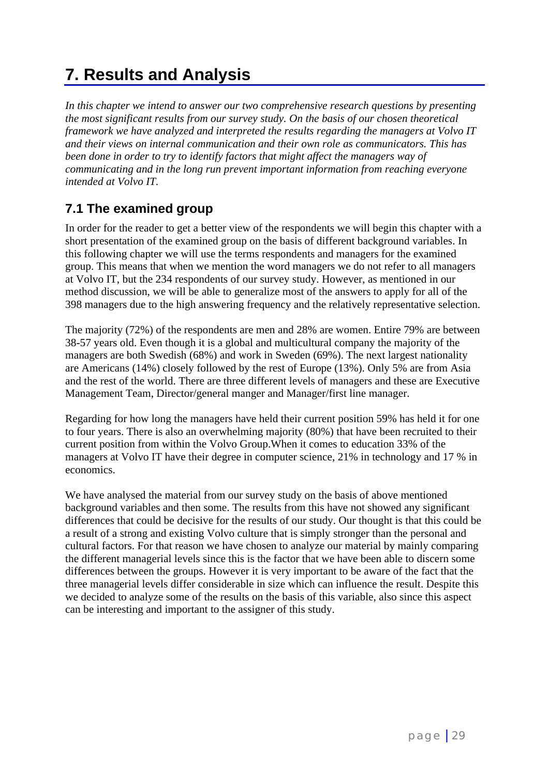# **7. Results and Analysis**

*In this chapter we intend to answer our two comprehensive research questions by presenting the most significant results from our survey study. On the basis of our chosen theoretical framework we have analyzed and interpreted the results regarding the managers at Volvo IT and their views on internal communication and their own role as communicators. This has been done in order to try to identify factors that might affect the managers way of communicating and in the long run prevent important information from reaching everyone intended at Volvo IT.*

### **7.1 The examined group**

In order for the reader to get a better view of the respondents we will begin this chapter with a short presentation of the examined group on the basis of different background variables. In this following chapter we will use the terms respondents and managers for the examined group. This means that when we mention the word managers we do not refer to all managers at Volvo IT, but the 234 respondents of our survey study. However, as mentioned in our method discussion, we will be able to generalize most of the answers to apply for all of the 398 managers due to the high answering frequency and the relatively representative selection.

The majority (72%) of the respondents are men and 28% are women. Entire 79% are between 38-57 years old. Even though it is a global and multicultural company the majority of the managers are both Swedish (68%) and work in Sweden (69%). The next largest nationality are Americans (14%) closely followed by the rest of Europe (13%). Only 5% are from Asia and the rest of the world. There are three different levels of managers and these are Executive Management Team, Director/general manger and Manager/first line manager.

Regarding for how long the managers have held their current position 59% has held it for one to four years. There is also an overwhelming majority (80%) that have been recruited to their current position from within the Volvo Group.When it comes to education 33% of the managers at Volvo IT have their degree in computer science, 21% in technology and 17 % in economics.

We have analysed the material from our survey study on the basis of above mentioned background variables and then some. The results from this have not showed any significant differences that could be decisive for the results of our study. Our thought is that this could be a result of a strong and existing Volvo culture that is simply stronger than the personal and cultural factors. For that reason we have chosen to analyze our material by mainly comparing the different managerial levels since this is the factor that we have been able to discern some differences between the groups. However it is very important to be aware of the fact that the three managerial levels differ considerable in size which can influence the result. Despite this we decided to analyze some of the results on the basis of this variable, also since this aspect can be interesting and important to the assigner of this study.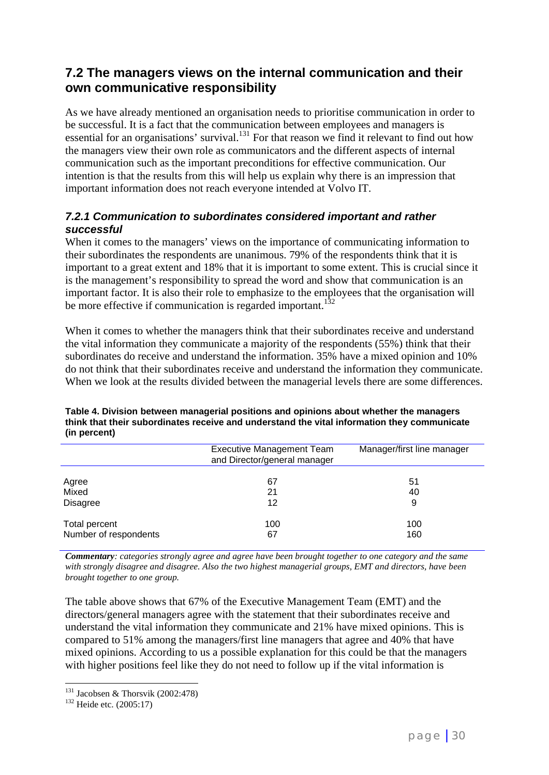### **7.2 The managers views on the internal communication and their own communicative responsibility**

As we have already mentioned an organisation needs to prioritise communication in order to be successful. It is a fact that the communication between employees and managers is essential for an organisations' survival. $^{131}$  For that reason we find it relevant to find out how the managers view their own role as communicators and the different aspects of internal communication such as the important preconditions for effective communication. Our intention is that the results from this will help us explain why there is an impression that important information does not reach everyone intended at Volvo IT.

### *7.2.1 Communication to subordinates considered important and rather successful*

When it comes to the managers' views on the importance of communicating information to their subordinates the respondents are unanimous. 79% of the respondents think that it is important to a great extent and 18% that it is important to some extent. This is crucial since it is the management's responsibility to spread the word and show that communication is an important factor. It is also their role to emphasize to the employees that the organisation will be more effective if communication is regarded important.<sup>132</sup>

When it comes to whether the managers think that their subordinates receive and understand the vital information they communicate a majority of the respondents (55%) think that their subordinates do receive and understand the information. 35% have a mixed opinion and 10% do not think that their subordinates receive and understand the information they communicate. When we look at the results divided between the managerial levels there are some differences.

|                       | <b>Executive Management Team</b><br>and Director/general manager | Manager/first line manager |
|-----------------------|------------------------------------------------------------------|----------------------------|
|                       |                                                                  |                            |
| Agree                 | 67                                                               | 51                         |
| Mixed                 | 21                                                               | 40                         |
| <b>Disagree</b>       | 12                                                               | 9                          |
| Total percent         | 100                                                              | 100                        |
| Number of respondents | 67                                                               | 160                        |

**Table 4. Division between managerial positions and opinions about whether the managers think that their subordinates receive and understand the vital information they communicate (in percent)**

*Commentary: categories strongly agree and agree have been brought together to one category and the same with strongly disagree and disagree. Also the two highest managerial groups, EMT and directors, have been brought together to one group.*

The table above shows that 67% of the Executive Management Team (EMT) and the directors/general managers agree with the statement that their subordinates receive and understand the vital information they communicate and 21% have mixed opinions. This is compared to 51% among the managers/first line managers that agree and 40% that have mixed opinions. According to us a possible explanation for this could be that the managers with higher positions feel like they do not need to follow up if the vital information is

<sup>&</sup>lt;sup>131</sup> Jacobsen & Thorsvik (2002:478)<br><sup>132</sup> Heide etc. (2005:17)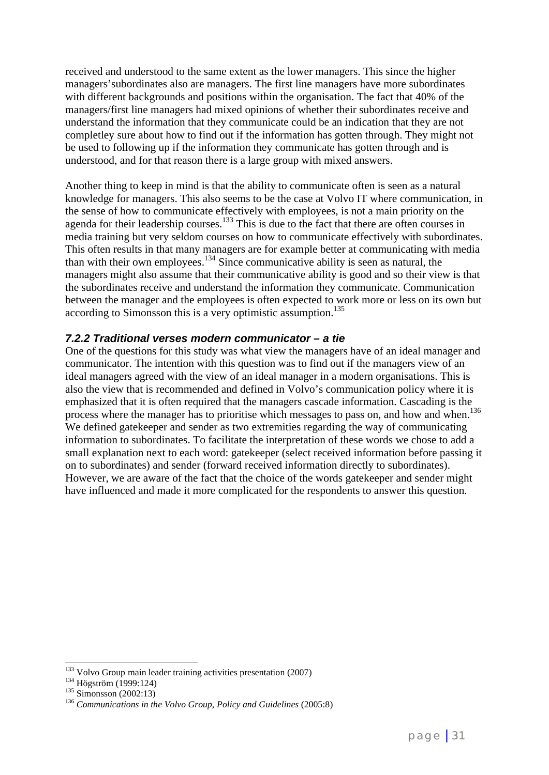received and understood to the same extent as the lower managers. This since the higher managers'subordinates also are managers. The first line managers have more subordinates with different backgrounds and positions within the organisation. The fact that 40% of the managers/first line managers had mixed opinions of whether their subordinates receive and understand the information that they communicate could be an indication that they are not completley sure about how to find out if the information has gotten through. They might not be used to following up if the information they communicate has gotten through and is understood, and for that reason there is a large group with mixed answers.

Another thing to keep in mind is that the ability to communicate often is seen as a natural knowledge for managers. This also seems to be the case at Volvo IT where communication, in the sense of how to communicate effectively with employees, is not a main priority on the agenda for their leadership courses.<sup>133</sup> This is due to the fact that there are often courses in media training but very seldom courses on how to communicate effectively with subordinates. This often results in that many managers are for example better at communicating with media than with their own employees. $134$  Since communicative ability is seen as natural, the managers might also assume that their communicative ability is good and so their view is that the subordinates receive and understand the information they communicate. Communication between the manager and the employees is often expected to work more or less on its own but according to Simonsson this is a very optimistic assumption.<sup>135</sup>

### *7.2.2 Traditional verses modern communicator – a tie*

One of the questions for this study was what view the managers have of an ideal manager and communicator. The intention with this question was to find out if the managers view of an ideal managers agreed with the view of an ideal manager in a modern organisations. This is also the view that is recommended and defined in Volvo's communication policy where it is emphasized that it is often required that the managers cascade information. Cascading is the process where the manager has to prioritise which messages to pass on, and how and when.<sup>136</sup> We defined gatekeeper and sender as two extremities regarding the way of communicating information to subordinates. To facilitate the interpretation of these words we chose to add a small explanation next to each word: gatekeeper (select received information before passing it on to subordinates) and sender (forward received information directly to subordinates). However, we are aware of the fact that the choice of the words gatekeeper and sender might have influenced and made it more complicated for the respondents to answer this question.

<sup>&</sup>lt;sup>133</sup> Volvo Group main leader training activities presentation (2007)<br><sup>134</sup> Högström (1999:124)<br><sup>135</sup> Simonsson (2002:13)<br><sup>136</sup> *Communications in the Volvo Group, Policy and Guidelines* (2005:8)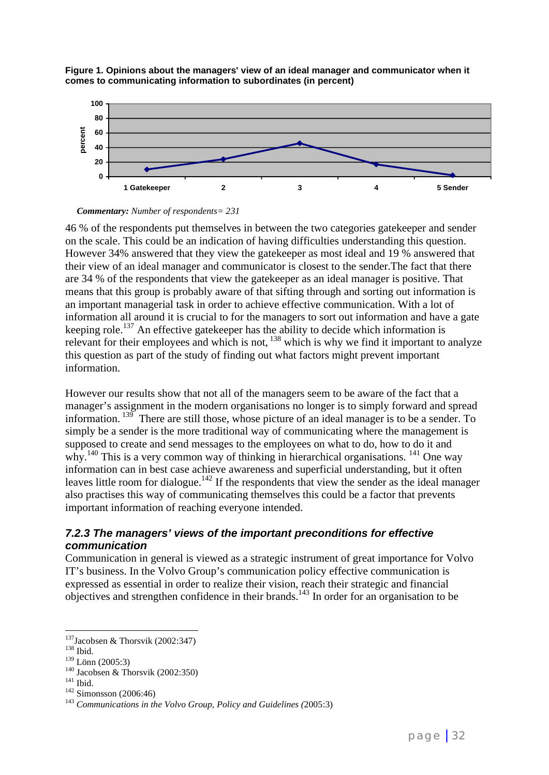





46 % of the respondents put themselves in between the two categories gatekeeper and sender on the scale. This could be an indication of having difficulties understanding this question. However 34% answered that they view the gatekeeper as most ideal and 19 % answered that their view of an ideal manager and communicator is closest to the sender.The fact that there are 34 % of the respondents that view the gatekeeper as an ideal manager is positive. That means that this group is probably aware of that sifting through and sorting out information is an important managerial task in order to achieve effective communication. With a lot of information all around it is crucial to for the managers to sort out information and have a gate keeping role.<sup>137</sup> An effective gatekeeper has the ability to decide which information is relevant for their employees and which is not, <sup>138</sup> which is why we find it important to analyze this question as part of the study of finding out what factors might prevent important information.

However our results show that not all of the managers seem to be aware of the fact that a manager's assignment in the modern organisations no longer is to simply forward and spread information. 139 There are still those, whose picture of an ideal manager is to be a sender. To simply be a sender is the more traditional way of communicating where the management is supposed to create and send messages to the employees on what to do, how to do it and why.<sup>140</sup> This is a very common way of thinking in hierarchical organisations. <sup>141</sup> One way information can in best case achieve awareness and superficial understanding, but it often leaves little room for dialogue.<sup>142</sup> If the respondents that view the sender as the ideal manager also practises this way of communicating themselves this could be a factor that prevents important information of reaching everyone intended.

### *7.2.3 The managers' views of the important preconditions for effective communication*

Communication in general is viewed as a strategic instrument of great importance for Volvo IT's business. In the Volvo Group's communication policy effective communication is expressed as essential in order to realize their vision, reach their strategic and financial objectives and strengthen confidence in their brands.<sup>143</sup> In order for an organisation to be

<sup>&</sup>lt;sup>137</sup>Jacobsen & Thorsvik (2002:347)<sup>138</sup> Ibid.

<sup>138</sup> Ibid.<br>
<sup>139</sup> Lönn (2005:3)<br>
<sup>140</sup> Jacobsen & Thorsvik (2002:350)<br>
<sup>141</sup> Ibid.<br>
<sup>142</sup> Simonsson (2006:46)<br>
<sup>143</sup> *Communications in the Volvo Group, Policy and Guidelines (2005:3)*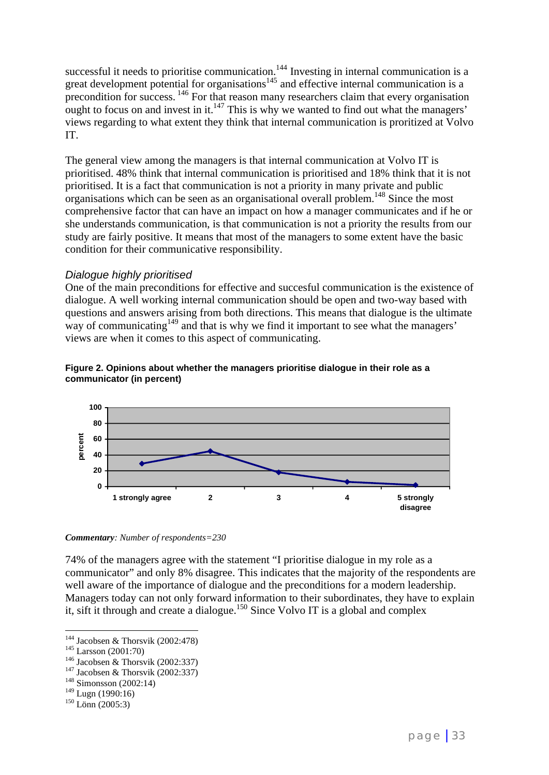successful it needs to prioritise communication.<sup>144</sup> Investing in internal communication is a great development potential for organisations $145$  and effective internal communication is a precondition for success. <sup>146</sup> For that reason many researchers claim that every organisation ought to focus on and invest in it.147 This is why we wanted to find out what the managers' views regarding to what extent they think that internal communication is proritized at Volvo IT.

The general view among the managers is that internal communication at Volvo IT is prioritised. 48% think that internal communication is prioritised and 18% think that it is not prioritised. It is a fact that communication is not a priority in many private and public organisations which can be seen as an organisational overall problem.<sup>148</sup> Since the most comprehensive factor that can have an impact on how a manager communicates and if he or she understands communication, is that communication is not a priority the results from our study are fairly positive. It means that most of the managers to some extent have the basic condition for their communicative responsibility.

#### *Dialogue highly prioritised*

One of the main preconditions for effective and succesful communication is the existence of dialogue. A well working internal communication should be open and two-way based with questions and answers arising from both directions. This means that dialogue is the ultimate way of communicating<sup>149</sup> and that is why we find it important to see what the managers' views are when it comes to this aspect of communicating.





*Commentary: Number of respondents=230*

74% of the managers agree with the statement "I prioritise dialogue in my role as a communicator" and only 8% disagree. This indicates that the majority of the respondents are well aware of the importance of dialogue and the preconditions for a modern leadership. Managers today can not only forward information to their subordinates, they have to explain it, sift it through and create a dialogue.150 Since Volvo IT is a global and complex

<sup>&</sup>lt;sup>144</sup> Jacobsen & Thorsvik (2002:478)

<sup>&</sup>lt;sup>145</sup> Larsson (2001:70)<br><sup>146</sup> Jacobsen & Thorsvik (2002:337)<br><sup>147</sup> Jacobsen & Thorsvik (2002:337)<br><sup>148</sup> Simonsson (2002:14)

 $^{149}_{150}$  Lugn (1990:16)<br> $^{150}$  Lönn (2005:3)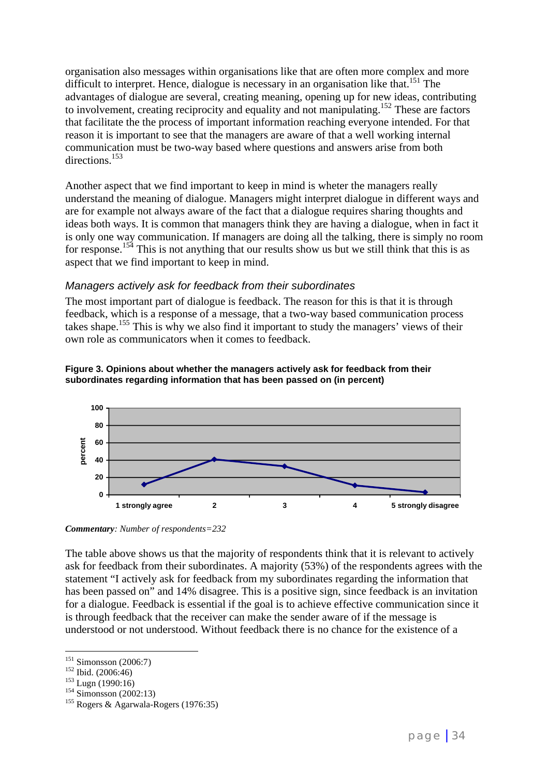organisation also messages within organisations like that are often more complex and more difficult to interpret. Hence, dialogue is necessary in an organisation like that.<sup>151</sup> The advantages of dialogue are several, creating meaning, opening up for new ideas, contributing to involvement, creating reciprocity and equality and not manipulating.<sup>152</sup> These are factors that facilitate the the process of important information reaching everyone intended. For that reason it is important to see that the managers are aware of that a well working internal communication must be two-way based where questions and answers arise from both directions.153

Another aspect that we find important to keep in mind is wheter the managers really understand the meaning of dialogue. Managers might interpret dialogue in different ways and are for example not always aware of the fact that a dialogue requires sharing thoughts and ideas both ways. It is common that managers think they are having a dialogue, when in fact it is only one way communication. If managers are doing all the talking, there is simply no room for response.<sup>154</sup> This is not anything that our results show us but we still think that this is as aspect that we find important to keep in mind.

### *Managers actively ask for feedback from their subordinates*

The most important part of dialogue is feedback. The reason for this is that it is through feedback, which is a response of a message, that a two-way based communication process takes shape.<sup>155</sup> This is why we also find it important to study the managers' views of their own role as communicators when it comes to feedback.





*Commentary: Number of respondents=232*

The table above shows us that the majority of respondents think that it is relevant to actively ask for feedback from their subordinates. A majority (53%) of the respondents agrees with the statement "I actively ask for feedback from my subordinates regarding the information that has been passed on" and 14% disagree. This is a positive sign, since feedback is an invitation for a dialogue. Feedback is essential if the goal is to achieve effective communication since it is through feedback that the receiver can make the sender aware of if the message is understood or not understood. Without feedback there is no chance for the existence of a

 $151$  Simonsson (2006:7)

<sup>152</sup> Ibid. (2006:46)<br>
<sup>153</sup> Lugn (1990:16)<br>
<sup>154</sup> Simonsson (2002:13)<br>
<sup>155</sup> Rogers & Agarwala-Rogers (1976:35)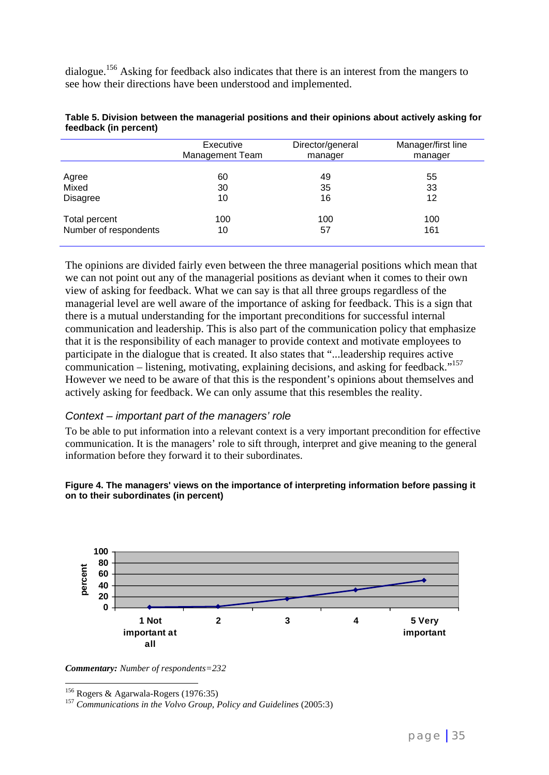dialogue.<sup>156</sup> Asking for feedback also indicates that there is an interest from the mangers to see how their directions have been understood and implemented.

|                       | Executive              | Director/general | Manager/first line |
|-----------------------|------------------------|------------------|--------------------|
|                       | <b>Management Team</b> | manager          | manager            |
| Agree                 | 60                     | 49               | 55                 |
| Mixed                 | 30                     | 35               | 33                 |
| <b>Disagree</b>       | 10                     | 16               | 12                 |
| Total percent         | 100                    | 100              | 100                |
| Number of respondents | 10                     | 57               | 161                |

| Table 5. Division between the managerial positions and their opinions about actively asking for |  |
|-------------------------------------------------------------------------------------------------|--|
| feedback (in percent)                                                                           |  |

The opinions are divided fairly even between the three managerial positions which mean that we can not point out any of the managerial positions as deviant when it comes to their own view of asking for feedback. What we can say is that all three groups regardless of the managerial level are well aware of the importance of asking for feedback. This is a sign that there is a mutual understanding for the important preconditions for successful internal communication and leadership. This is also part of the communication policy that emphasize that it is the responsibility of each manager to provide context and motivate employees to participate in the dialogue that is created. It also states that "...leadership requires active communication – listening, motivating, explaining decisions, and asking for feedback."<sup>157</sup> However we need to be aware of that this is the respondent's opinions about themselves and actively asking for feedback. We can only assume that this resembles the reality.

#### *Context – important part of the managers' role*

To be able to put information into a relevant context is a very important precondition for effective communication. It is the managers' role to sift through, interpret and give meaning to the general information before they forward it to their subordinates.





*Commentary: Number of respondents=232*

 $\overline{a}$ 

<sup>156</sup> Rogers & Agarwala-Rogers (1976:35) <sup>157</sup> *Communications in the Volvo Group, Policy and Guidelines* (2005:3)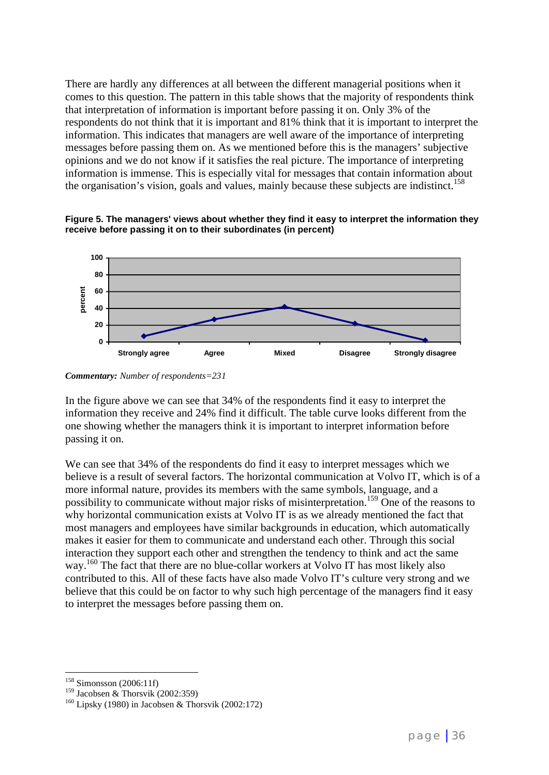There are hardly any differences at all between the different managerial positions when it comes to this question. The pattern in this table shows that the majority of respondents think that interpretation of information is important before passing it on. Only 3% of the respondents do not think that it is important and 81% think that it is important to interpret the information. This indicates that managers are well aware of the importance of interpreting messages before passing them on. As we mentioned before this is the managers' subjective opinions and we do not know if it satisfies the real picture. The importance of interpreting information is immense. This is especially vital for messages that contain information about the organisation's vision, goals and values, mainly because these subjects are indistinct.<sup>158</sup>

**Figure 5. The managers' views about whether they find it easy to interpret the information they receive before passing it on to their subordinates (in percent)**



*Commentary: Number of respondents=231*

In the figure above we can see that 34% of the respondents find it easy to interpret the information they receive and 24% find it difficult. The table curve looks different from the one showing whether the managers think it is important to interpret information before passing it on.

We can see that 34% of the respondents do find it easy to interpret messages which we believe is a result of several factors. The horizontal communication at Volvo IT, which is of a more informal nature, provides its members with the same symbols, language, and a possibility to communicate without major risks of misinterpretation.<sup>159</sup> One of the reasons to why horizontal communication exists at Volvo IT is as we already mentioned the fact that most managers and employees have similar backgrounds in education, which automatically makes it easier for them to communicate and understand each other. Through this social interaction they support each other and strengthen the tendency to think and act the same way.<sup>160</sup> The fact that there are no blue-collar workers at Volvo IT has most likely also contributed to this. All of these facts have also made Volvo IT's culture very strong and we believe that this could be on factor to why such high percentage of the managers find it easy to interpret the messages before passing them on.

 $\overline{a}$ <sup>158</sup> Simonsson (2006:11f)

<sup>&</sup>lt;sup>159</sup> Jacobsen & Thorsvik (2002:359)<br><sup>160</sup> Lipsky (1980) in Jacobsen & Thorsvik (2002:172)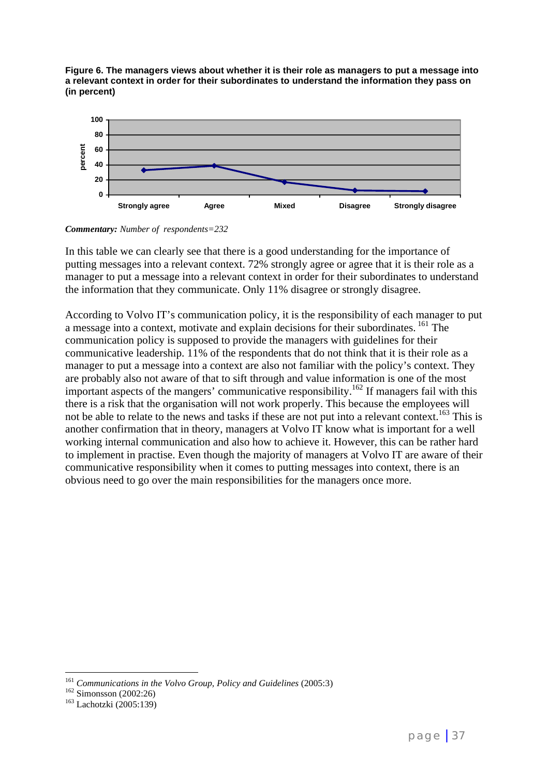**Figure 6. The managers views about whether it is their role as managers to put a message into a relevant context in order for their subordinates to understand the information they pass on (in percent)**



*Commentary: Number of respondents=232*

In this table we can clearly see that there is a good understanding for the importance of putting messages into a relevant context. 72% strongly agree or agree that it is their role as a manager to put a message into a relevant context in order for their subordinates to understand the information that they communicate. Only 11% disagree or strongly disagree.

According to Volvo IT's communication policy, it is the responsibility of each manager to put a message into a context, motivate and explain decisions for their subordinates. <sup>161</sup> The communication policy is supposed to provide the managers with guidelines for their communicative leadership. 11% of the respondents that do not think that it is their role as a manager to put a message into a context are also not familiar with the policy's context. They are probably also not aware of that to sift through and value information is one of the most important aspects of the mangers' communicative responsibility.<sup>162</sup> If managers fail with this there is a risk that the organisation will not work properly. This because the employees will not be able to relate to the news and tasks if these are not put into a relevant context.<sup>163</sup> This is another confirmation that in theory, managers at Volvo IT know what is important for a well working internal communication and also how to achieve it. However, this can be rather hard to implement in practise. Even though the majority of managers at Volvo IT are aware of their communicative responsibility when it comes to putting messages into context, there is an obvious need to go over the main responsibilities for the managers once more.

<sup>&</sup>lt;sup>161</sup> Communications in the Volvo Group, Policy and Guidelines (2005:3)<br><sup>162</sup> Simonsson (2002:26)<br><sup>163</sup> Lachotzki (2005:139)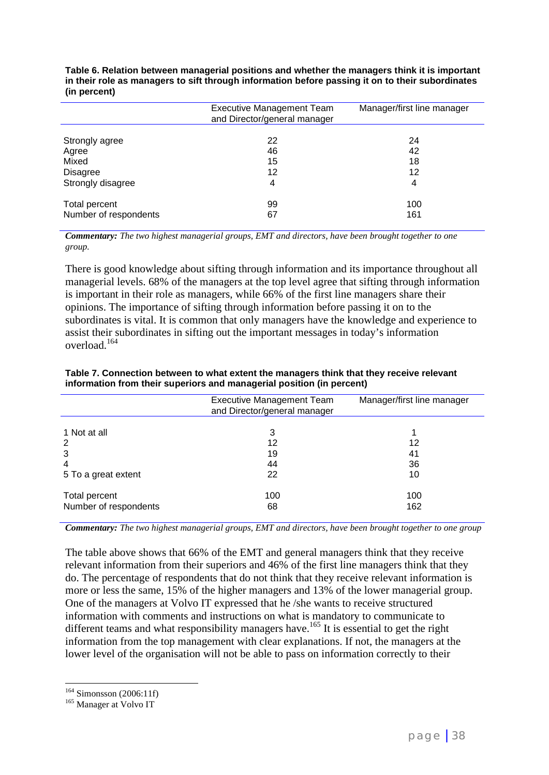**Table 6. Relation between managerial positions and whether the managers think it is important in their role as managers to sift through information before passing it on to their subordinates (in percent)**

|                                        | <b>Executive Management Team</b><br>and Director/general manager | Manager/first line manager |
|----------------------------------------|------------------------------------------------------------------|----------------------------|
| Strongly agree                         | 22                                                               | 24                         |
| Agree                                  | 46                                                               | 42                         |
| Mixed                                  | 15                                                               | 18                         |
| <b>Disagree</b>                        | 12                                                               | 12                         |
| Strongly disagree                      | 4                                                                | 4                          |
| Total percent<br>Number of respondents | 99<br>67                                                         | 100<br>161                 |

*Commentary: The two highest managerial groups, EMT and directors, have been brought together to one group.*

There is good knowledge about sifting through information and its importance throughout all managerial levels. 68% of the managers at the top level agree that sifting through information is important in their role as managers, while 66% of the first line managers share their opinions. The importance of sifting through information before passing it on to the subordinates is vital. It is common that only managers have the knowledge and experience to assist their subordinates in sifting out the important messages in today's information overload.<sup>164</sup>

| <b>Executive Management Team</b><br>and Director/general manager | Manager/first line manager |  |
|------------------------------------------------------------------|----------------------------|--|
|                                                                  |                            |  |
| 3                                                                |                            |  |
| 12                                                               | 12                         |  |
| 19                                                               | 41                         |  |
| 44                                                               | 36                         |  |
| 22                                                               | 10                         |  |
|                                                                  | 100                        |  |
|                                                                  |                            |  |
|                                                                  | 162                        |  |
|                                                                  | 100<br>68                  |  |

**Table 7. Connection between to what extent the managers think that they receive relevant information from their superiors and managerial position (in percent)**

*Commentary: The two highest managerial groups, EMT and directors, have been brought together to one group*

The table above shows that 66% of the EMT and general managers think that they receive relevant information from their superiors and 46% of the first line managers think that they do. The percentage of respondents that do not think that they receive relevant information is more or less the same, 15% of the higher managers and 13% of the lower managerial group. One of the managers at Volvo IT expressed that he /she wants to receive structured information with comments and instructions on what is mandatory to communicate to different teams and what responsibility managers have.<sup>165</sup> It is essential to get the right information from the top management with clear explanations. If not, the managers at the lower level of the organisation will not be able to pass on information correctly to their

 $\frac{164}{165}$  Simonsson (2006:11f)<br> $\frac{165}{165}$  Manager at Volvo IT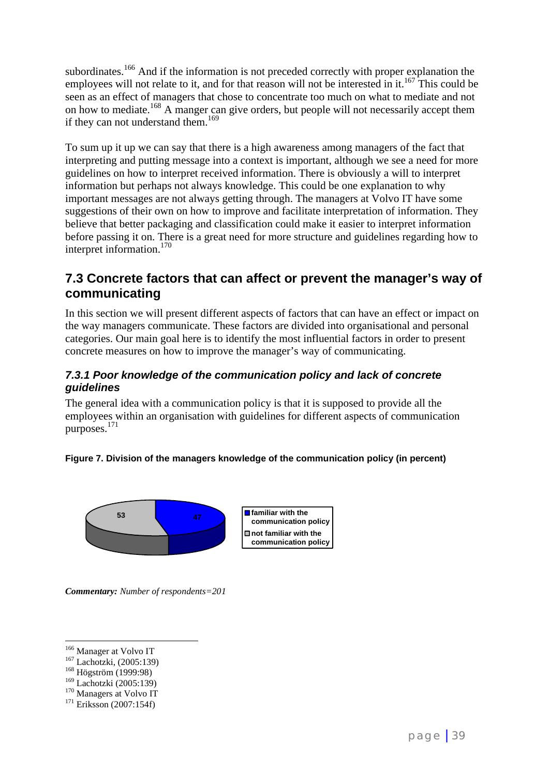subordinates.<sup>166</sup> And if the information is not preceded correctly with proper explanation the employees will not relate to it, and for that reason will not be interested in it.<sup>167</sup> This could be seen as an effect of managers that chose to concentrate too much on what to mediate and not on how to mediate.168 A manger can give orders, but people will not necessarily accept them if they can not understand them.<sup>169</sup>

To sum up it up we can say that there is a high awareness among managers of the fact that interpreting and putting message into a context is important, although we see a need for more guidelines on how to interpret received information. There is obviously a will to interpret information but perhaps not always knowledge. This could be one explanation to why important messages are not always getting through. The managers at Volvo IT have some suggestions of their own on how to improve and facilitate interpretation of information. They believe that better packaging and classification could make it easier to interpret information before passing it on. There is a great need for more structure and guidelines regarding how to interpret information.<sup>170</sup>

### **7.3 Concrete factors that can affect or prevent the manager's way of communicating**

In this section we will present different aspects of factors that can have an effect or impact on the way managers communicate. These factors are divided into organisational and personal categories. Our main goal here is to identify the most influential factors in order to present concrete measures on how to improve the manager's way of communicating.

### *7.3.1 Poor knowledge of the communication policy and lack of concrete guidelines*

The general idea with a communication policy is that it is supposed to provide all the employees within an organisation with guidelines for different aspects of communication purposes.<sup>171</sup>

### **Figure 7. Division of the managers knowledge of the communication policy (in percent)**



**communication policy not familiar with the communication policy**

*Commentary: Number of respondents=201*

<sup>&</sup>lt;sup>166</sup> Manager at Volvo IT

<sup>&</sup>lt;sup>167</sup> Lachotzki, (2005:139)<br><sup>168</sup> Högström (1999:98)

<sup>&</sup>lt;sup>169</sup> Lachotzki (2005:139)<br><sup>170</sup> Managers at Volvo IT<br><sup>171</sup> Eriksson (2007:154f)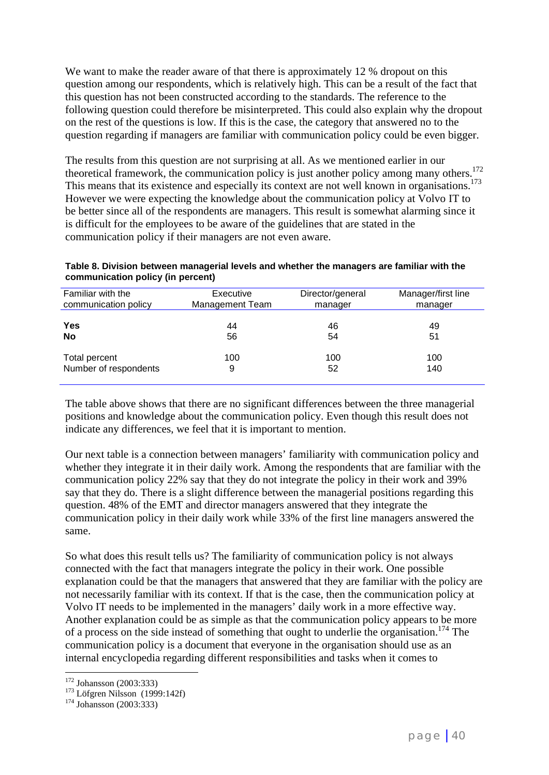We want to make the reader aware of that there is approximately 12 % dropout on this question among our respondents, which is relatively high. This can be a result of the fact that this question has not been constructed according to the standards. The reference to the following question could therefore be misinterpreted. This could also explain why the dropout on the rest of the questions is low. If this is the case, the category that answered no to the question regarding if managers are familiar with communication policy could be even bigger.

The results from this question are not surprising at all. As we mentioned earlier in our theoretical framework, the communication policy is just another policy among many others.<sup>172</sup> This means that its existence and especially its context are not well known in organisations.<sup>173</sup> However we were expecting the knowledge about the communication policy at Volvo IT to be better since all of the respondents are managers. This result is somewhat alarming since it is difficult for the employees to be aware of the guidelines that are stated in the communication policy if their managers are not even aware.

**Table 8. Division between managerial levels and whether the managers are familiar with the communication policy (in percent)**

| Familiar with the     | Executive       | Director/general | Manager/first line |
|-----------------------|-----------------|------------------|--------------------|
| communication policy  | Management Team | manager          | manager            |
| Yes                   | 44              | 46               | 49                 |
| No                    | 56              | 54               | 51                 |
| Total percent         | 100             | 100              | 100                |
| Number of respondents | 9               | 52               | 140                |

The table above shows that there are no significant differences between the three managerial positions and knowledge about the communication policy. Even though this result does not indicate any differences, we feel that it is important to mention.

Our next table is a connection between managers' familiarity with communication policy and whether they integrate it in their daily work. Among the respondents that are familiar with the communication policy 22% say that they do not integrate the policy in their work and 39% say that they do. There is a slight difference between the managerial positions regarding this question. 48% of the EMT and director managers answered that they integrate the communication policy in their daily work while 33% of the first line managers answered the same.

So what does this result tells us? The familiarity of communication policy is not always connected with the fact that managers integrate the policy in their work. One possible explanation could be that the managers that answered that they are familiar with the policy are not necessarily familiar with its context. If that is the case, then the communication policy at Volvo IT needs to be implemented in the managers' daily work in a more effective way. Another explanation could be as simple as that the communication policy appears to be more of a process on the side instead of something that ought to underlie the organisation.<sup>174</sup> The communication policy is a document that everyone in the organisation should use as an internal encyclopedia regarding different responsibilities and tasks when it comes to

 $172$  Johansson (2003:333)

<sup>&</sup>lt;sup>173</sup> Löfgren Nilsson (1999:142f)<br><sup>174</sup> Johansson (2003:333)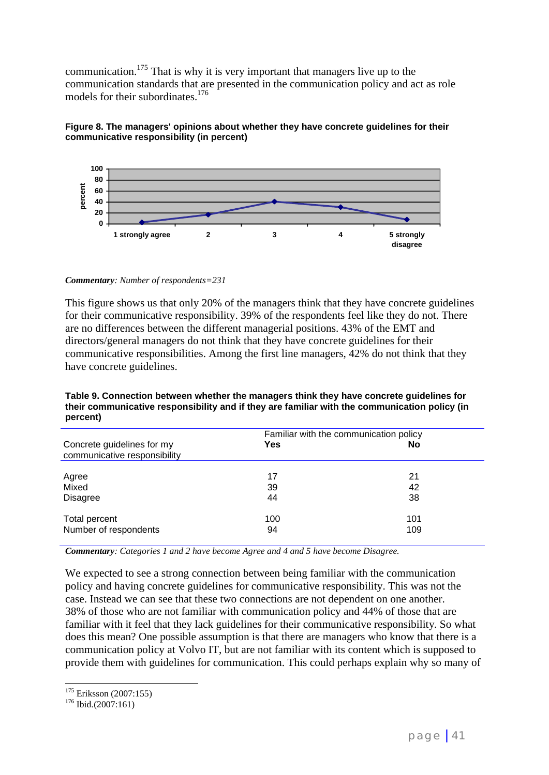communication.<sup>175</sup> That is why it is very important that managers live up to the communication standards that are presented in the communication policy and act as role models for their subordinates.<sup>176</sup>





*Commentary: Number of respondents=231*

This figure shows us that only 20% of the managers think that they have concrete guidelines for their communicative responsibility. 39% of the respondents feel like they do not. There are no differences between the different managerial positions. 43% of the EMT and directors/general managers do not think that they have concrete guidelines for their communicative responsibilities. Among the first line managers, 42% do not think that they have concrete guidelines.

|                                                            | Familiar with the communication policy |     |
|------------------------------------------------------------|----------------------------------------|-----|
| Concrete guidelines for my<br>communicative responsibility | Yes                                    | No  |
| Agree                                                      | 17                                     | 21  |
| Mixed                                                      | 39                                     | 42  |
| <b>Disagree</b>                                            | 44                                     | 38  |
| Total percent                                              | 100                                    | 101 |
| Number of respondents                                      | 94                                     | 109 |

**Table 9. Connection between whether the managers think they have concrete guidelines for their communicative responsibility and if they are familiar with the communication policy (in percent)**

*Commentary: Categories 1 and 2 have become Agree and 4 and 5 have become Disagree.*

We expected to see a strong connection between being familiar with the communication policy and having concrete guidelines for communicative responsibility. This was not the case. Instead we can see that these two connections are not dependent on one another. 38% of those who are not familiar with communication policy and 44% of those that are familiar with it feel that they lack guidelines for their communicative responsibility. So what does this mean? One possible assumption is that there are managers who know that there is a communication policy at Volvo IT, but are not familiar with its content which is supposed to provide them with guidelines for communication. This could perhaps explain why so many of

 $\overline{a}$  $^{175}_{176}$  Eriksson (2007:155)<br> $^{176}$  Ibid.(2007:161)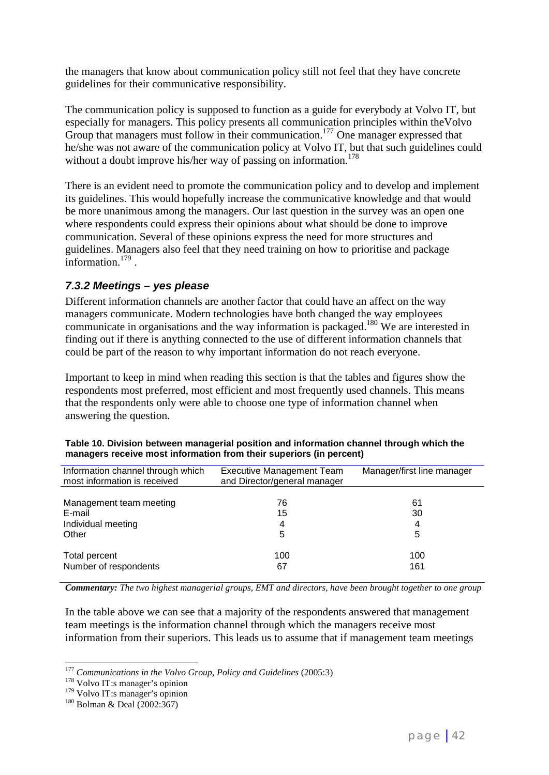the managers that know about communication policy still not feel that they have concrete guidelines for their communicative responsibility.

The communication policy is supposed to function as a guide for everybody at Volvo IT, but especially for managers. This policy presents all communication principles within theVolvo Group that managers must follow in their communication.<sup>177</sup> One manager expressed that he/she was not aware of the communication policy at Volvo IT, but that such guidelines could without a doubt improve his/her way of passing on information.<sup>178</sup>

There is an evident need to promote the communication policy and to develop and implement its guidelines. This would hopefully increase the communicative knowledge and that would be more unanimous among the managers. Our last question in the survey was an open one where respondents could express their opinions about what should be done to improve communication. Several of these opinions express the need for more structures and guidelines. Managers also feel that they need training on how to prioritise and package information.179 .

### *7.3.2 Meetings – yes please*

Different information channels are another factor that could have an affect on the way managers communicate. Modern technologies have both changed the way employees communicate in organisations and the way information is packaged.<sup>180</sup> We are interested in finding out if there is anything connected to the use of different information channels that could be part of the reason to why important information do not reach everyone.

Important to keep in mind when reading this section is that the tables and figures show the respondents most preferred, most efficient and most frequently used channels. This means that the respondents only were able to choose one type of information channel when answering the question.

| Information channel through which<br>most information is received | <b>Executive Management Team</b><br>and Director/general manager | Manager/first line manager |
|-------------------------------------------------------------------|------------------------------------------------------------------|----------------------------|
|                                                                   |                                                                  |                            |
| Management team meeting                                           | 76                                                               | 61                         |
| E-mail                                                            | 15                                                               | 30                         |
| Individual meeting                                                | 4                                                                | 4                          |
| Other                                                             | 5                                                                | 5                          |
| Total percent                                                     | 100                                                              | 100                        |
| Number of respondents                                             | 67                                                               | 161                        |

| Table 10. Division between managerial position and information channel through which the |  |
|------------------------------------------------------------------------------------------|--|
| managers receive most information from their superiors (in percent)                      |  |

*Commentary: The two highest managerial groups, EMT and directors, have been brought together to one group*

In the table above we can see that a majority of the respondents answered that management team meetings is the information channel through which the managers receive most information from their superiors. This leads us to assume that if management team meetings

<sup>&</sup>lt;sup>177</sup> *Communications in the Volvo Group, Policy and Guidelines* (2005:3) <sup>178</sup> Volvo IT:s manager's opinion

<sup>&</sup>lt;sup>178</sup> Volvo IT:s manager's opinion<br><sup>179</sup> Volvo IT:s manager's opinion<br><sup>180</sup> Bolman & Deal (2002:367)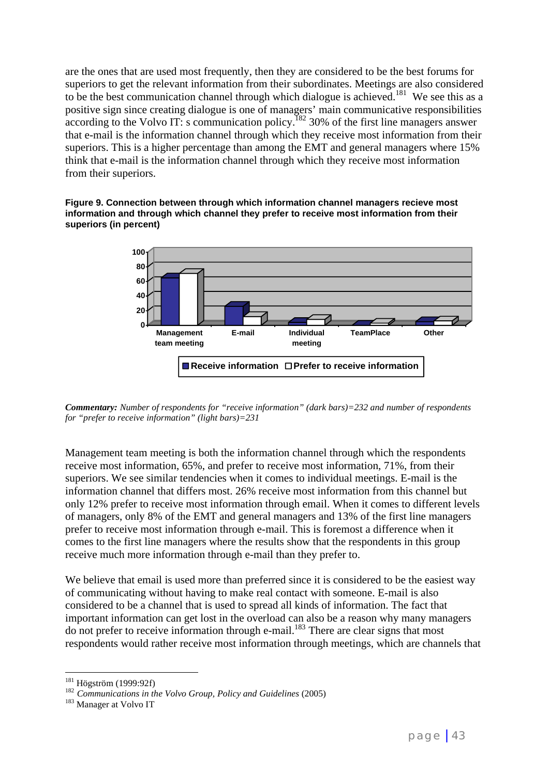are the ones that are used most frequently, then they are considered to be the best forums for superiors to get the relevant information from their subordinates. Meetings are also considered to be the best communication channel through which dialogue is achieved.<sup>181</sup> We see this as a positive sign since creating dialogue is one of managers' main communicative responsibilities according to the Volvo IT: s communication policy.<sup>182</sup> 30% of the first line managers answer that e-mail is the information channel through which they receive most information from their superiors. This is a higher percentage than among the EMT and general managers where 15% think that e-mail is the information channel through which they receive most information from their superiors.





*Commentary: Number of respondents for "receive information" (dark bars)=232 and number of respondents for "prefer to receive information" (light bars)=231*

Management team meeting is both the information channel through which the respondents receive most information, 65%, and prefer to receive most information, 71%, from their superiors. We see similar tendencies when it comes to individual meetings. E-mail is the information channel that differs most. 26% receive most information from this channel but only 12% prefer to receive most information through email. When it comes to different levels of managers, only 8% of the EMT and general managers and 13% of the first line managers prefer to receive most information through e-mail. This is foremost a difference when it comes to the first line managers where the results show that the respondents in this group receive much more information through e-mail than they prefer to.

We believe that email is used more than preferred since it is considered to be the easiest way of communicating without having to make real contact with someone. E-mail is also considered to be a channel that is used to spread all kinds of information. The fact that important information can get lost in the overload can also be a reason why many managers  $\frac{1}{2}$  do not prefer to receive information through e-mail.<sup>183</sup> There are clear signs that most respondents would rather receive most information through meetings, which are channels that

 $181$  Högström (1999:92f)

<sup>182</sup> Communications in the Volvo Group, Policy and Guidelines (2005)<br><sup>183</sup> Manager at Volvo IT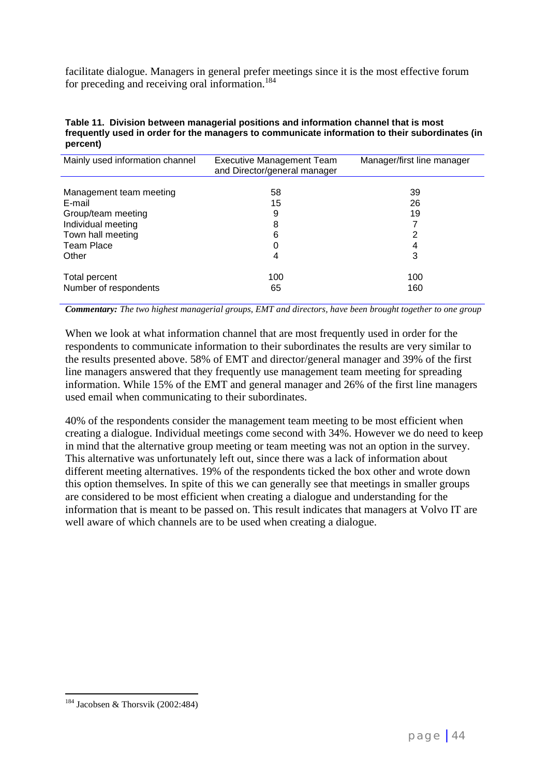facilitate dialogue. Managers in general prefer meetings since it is the most effective forum for preceding and receiving oral information.<sup>184</sup>

| Table 11. Division between managerial positions and information channel that is most           |
|------------------------------------------------------------------------------------------------|
| frequently used in order for the managers to communicate information to their subordinates (in |
| percent)                                                                                       |

| Mainly used information channel | <b>Executive Management Team</b><br>and Director/general manager | Manager/first line manager |
|---------------------------------|------------------------------------------------------------------|----------------------------|
|                                 |                                                                  |                            |
| Management team meeting         | 58                                                               | 39                         |
| E-mail                          | 15                                                               | 26                         |
| Group/team meeting              | 9                                                                | 19                         |
| Individual meeting              | 8                                                                |                            |
| Town hall meeting               | 6                                                                | 2                          |
| <b>Team Place</b>               |                                                                  | 4                          |
| Other                           | 4                                                                | 3                          |
| Total percent                   | 100                                                              | 100                        |
| Number of respondents           | 65                                                               | 160                        |

*Commentary: The two highest managerial groups, EMT and directors, have been brought together to one group*

When we look at what information channel that are most frequently used in order for the respondents to communicate information to their subordinates the results are very similar to the results presented above. 58% of EMT and director/general manager and 39% of the first line managers answered that they frequently use management team meeting for spreading information. While 15% of the EMT and general manager and 26% of the first line managers used email when communicating to their subordinates.

40% of the respondents consider the management team meeting to be most efficient when creating a dialogue. Individual meetings come second with 34%. However we do need to keep in mind that the alternative group meeting or team meeting was not an option in the survey. This alternative was unfortunately left out, since there was a lack of information about different meeting alternatives. 19% of the respondents ticked the box other and wrote down this option themselves. In spite of this we can generally see that meetings in smaller groups are considered to be most efficient when creating a dialogue and understanding for the information that is meant to be passed on. This result indicates that managers at Volvo IT are well aware of which channels are to be used when creating a dialogue.

 $\overline{a}$  $184$  Jacobsen & Thorsvik (2002:484)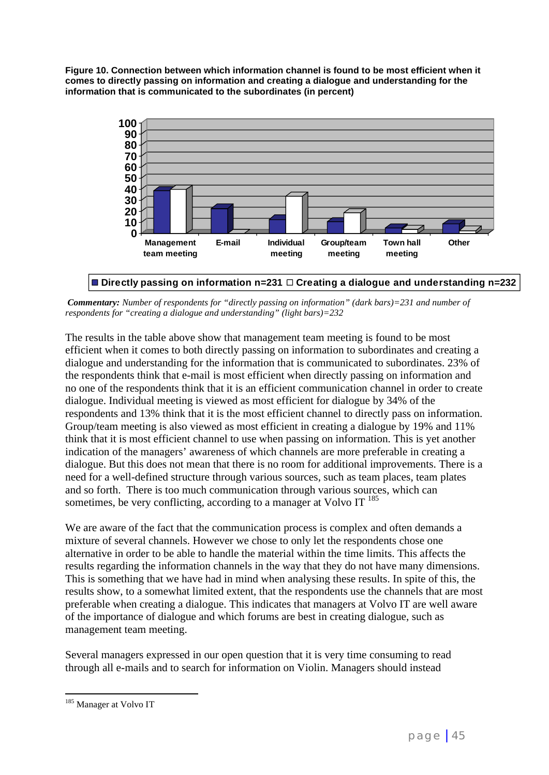**Figure 10. Connection between which information channel is found to be most efficient when it comes to directly passing on information and creating a dialogue and understanding for the information that is communicated to the subordinates (in percent)**



**Directly passing on information n=231 Creating a dialogue and understanding n=232**

*Commentary: Number of respondents for "directly passing on information" (dark bars)=231 and number of respondents for "creating a dialogue and understanding" (light bars)=232*

The results in the table above show that management team meeting is found to be most efficient when it comes to both directly passing on information to subordinates and creating a dialogue and understanding for the information that is communicated to subordinates. 23% of the respondents think that e-mail is most efficient when directly passing on information and no one of the respondents think that it is an efficient communication channel in order to create dialogue. Individual meeting is viewed as most efficient for dialogue by 34% of the respondents and 13% think that it is the most efficient channel to directly pass on information. Group/team meeting is also viewed as most efficient in creating a dialogue by 19% and 11% think that it is most efficient channel to use when passing on information. This is yet another indication of the managers' awareness of which channels are more preferable in creating a dialogue. But this does not mean that there is no room for additional improvements. There is a need for a well-defined structure through various sources, such as team places, team plates and so forth. There is too much communication through various sources, which can sometimes, be very conflicting, according to a manager at Volvo IT  $^{185}$ 

We are aware of the fact that the communication process is complex and often demands a mixture of several channels. However we chose to only let the respondents chose one alternative in order to be able to handle the material within the time limits. This affects the results regarding the information channels in the way that they do not have many dimensions. This is something that we have had in mind when analysing these results. In spite of this, the results show, to a somewhat limited extent, that the respondents use the channels that are most preferable when creating a dialogue. This indicates that managers at Volvo IT are well aware of the importance of dialogue and which forums are best in creating dialogue, such as management team meeting.

Several managers expressed in our open question that it is very time consuming to read through all e-mails and to search for information on Violin. Managers should instead

<sup>&</sup>lt;sup>185</sup> Manager at Volvo IT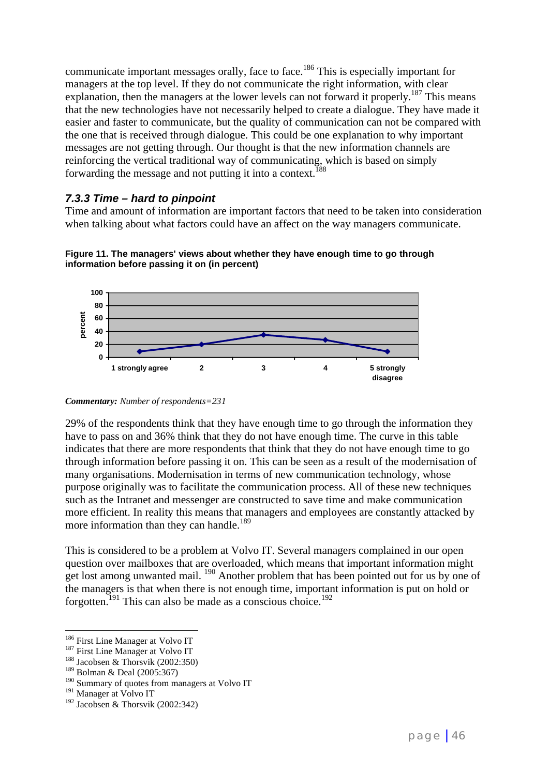communicate important messages orally, face to face.<sup>186</sup> This is especially important for managers at the top level. If they do not communicate the right information, with clear explanation, then the managers at the lower levels can not forward it properly.<sup>187</sup> This means that the new technologies have not necessarily helped to create a dialogue. They have made it easier and faster to communicate, but the quality of communication can not be compared with the one that is received through dialogue. This could be one explanation to why important messages are not getting through. Our thought is that the new information channels are reinforcing the vertical traditional way of communicating, which is based on simply forwarding the message and not putting it into a context.<sup>188</sup>

### *7.3.3 Time – hard to pinpoint*

Time and amount of information are important factors that need to be taken into consideration when talking about what factors could have an affect on the way managers communicate.



**Figure 11. The managers' views about whether they have enough time to go through information before passing it on (in percent)**

29% of the respondents think that they have enough time to go through the information they have to pass on and 36% think that they do not have enough time. The curve in this table indicates that there are more respondents that think that they do not have enough time to go through information before passing it on. This can be seen as a result of the modernisation of many organisations. Modernisation in terms of new communication technology, whose purpose originally was to facilitate the communication process. All of these new techniques such as the Intranet and messenger are constructed to save time and make communication more efficient. In reality this means that managers and employees are constantly attacked by more information than they can handle.<sup>189</sup>

This is considered to be a problem at Volvo IT. Several managers complained in our open question over mailboxes that are overloaded, which means that important information might get lost among unwanted mail. <sup>190</sup> Another problem that has been pointed out for us by one of the managers is that when there is not enough time, important information is put on hold or forgotten.<sup>191</sup> This can also be made as a conscious choice.<sup>192</sup>

*Commentary: Number of respondents=231*

<sup>&</sup>lt;sup>186</sup> First Line Manager at Volvo IT

<sup>&</sup>lt;sup>187</sup> First Line Manager at Volvo IT<br><sup>188</sup> Jacobsen & Thorsvik (2002:350)

<sup>189</sup> Bolman & Deal (2005:367)

<sup>&</sup>lt;sup>190</sup> Summary of quotes from managers at Volvo IT

<sup>&</sup>lt;sup>191</sup> Manager at Volvo IT

<sup>&</sup>lt;sup>192</sup> Jacobsen & Thorsvik (2002:342)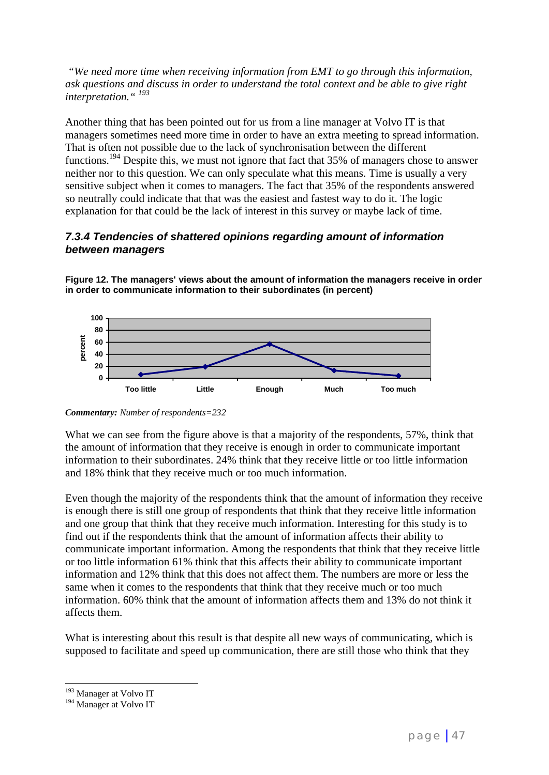*"We need more time when receiving information from EMT to go through this information, ask questions and discuss in order to understand the total context and be able to give right interpretation." 193*

Another thing that has been pointed out for us from a line manager at Volvo IT is that managers sometimes need more time in order to have an extra meeting to spread information. That is often not possible due to the lack of synchronisation between the different functions.<sup>194</sup> Despite this, we must not ignore that fact that 35% of managers chose to answer neither nor to this question. We can only speculate what this means. Time is usually a very sensitive subject when it comes to managers. The fact that 35% of the respondents answered so neutrally could indicate that that was the easiest and fastest way to do it. The logic explanation for that could be the lack of interest in this survey or maybe lack of time.

### *7.3.4 Tendencies of shattered opinions regarding amount of information between managers*

**Figure 12. The managers' views about the amount of information the managers receive in order in order to communicate information to their subordinates (in percent)**



*Commentary: Number of respondents=232*

What we can see from the figure above is that a majority of the respondents, 57%, think that the amount of information that they receive is enough in order to communicate important information to their subordinates. 24% think that they receive little or too little information and 18% think that they receive much or too much information.

Even though the majority of the respondents think that the amount of information they receive is enough there is still one group of respondents that think that they receive little information and one group that think that they receive much information. Interesting for this study is to find out if the respondents think that the amount of information affects their ability to communicate important information. Among the respondents that think that they receive little or too little information 61% think that this affects their ability to communicate important information and 12% think that this does not affect them. The numbers are more or less the same when it comes to the respondents that think that they receive much or too much information. 60% think that the amount of information affects them and 13% do not think it affects them.

What is interesting about this result is that despite all new ways of communicating, which is supposed to facilitate and speed up communication, there are still those who think that they

<sup>&</sup>lt;sup>193</sup> Manager at Volvo IT

<sup>&</sup>lt;sup>194</sup> Manager at Volvo IT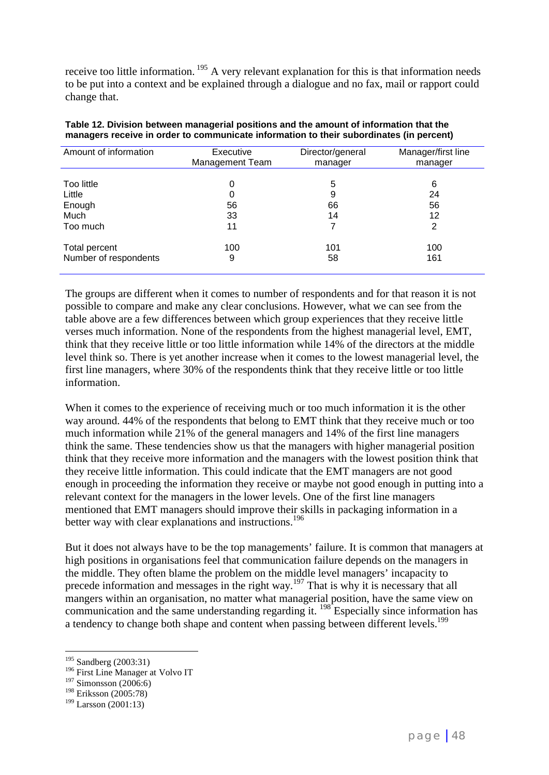receive too little information.<sup>195</sup> A very relevant explanation for this is that information needs to be put into a context and be explained through a dialogue and no fax, mail or rapport could change that.

| Amount of information | Executive<br>Management Team | Director/general<br>manager | Manager/first line<br>manager |
|-----------------------|------------------------------|-----------------------------|-------------------------------|
| Too little            | 0                            | 5                           | 6                             |
| Little                | 0                            | 9                           | 24                            |
| Enough                | 56                           | 66                          | 56                            |
| Much                  | 33                           | 14                          | 12                            |
| Too much              | 11                           |                             | 2                             |
| Total percent         | 100                          | 101                         | 100                           |
| Number of respondents | 9                            | 58                          | 161                           |

**Table 12. Division between managerial positions and the amount of information that the managers receive in order to communicate information to their subordinates (in percent)**

The groups are different when it comes to number of respondents and for that reason it is not possible to compare and make any clear conclusions. However, what we can see from the table above are a few differences between which group experiences that they receive little verses much information. None of the respondents from the highest managerial level, EMT, think that they receive little or too little information while 14% of the directors at the middle level think so. There is yet another increase when it comes to the lowest managerial level, the first line managers, where 30% of the respondents think that they receive little or too little information.

When it comes to the experience of receiving much or too much information it is the other way around. 44% of the respondents that belong to EMT think that they receive much or too much information while 21% of the general managers and 14% of the first line managers think the same. These tendencies show us that the managers with higher managerial position think that they receive more information and the managers with the lowest position think that they receive little information. This could indicate that the EMT managers are not good enough in proceeding the information they receive or maybe not good enough in putting into a relevant context for the managers in the lower levels. One of the first line managers mentioned that EMT managers should improve their skills in packaging information in a better way with clear explanations and instructions.<sup>196</sup>

But it does not always have to be the top managements' failure. It is common that managers at high positions in organisations feel that communication failure depends on the managers in the middle. They often blame the problem on the middle level managers' incapacity to precede information and messages in the right way.<sup>197</sup> That is why it is necessary that all mangers within an organisation, no matter what managerial position, have the same view on communication and the same understanding regarding it. <sup>198</sup> Especially since information has a tendency to change both shape and content when passing between different levels.<sup>199</sup>

<sup>&</sup>lt;sup>195</sup> Sandberg (2003:31)

<sup>&</sup>lt;sup>196</sup> First Line Manager at Volvo IT

<sup>&</sup>lt;sup>197</sup> Simonsson (2006:6)

<sup>198</sup> Eriksson (2005:78)

 $199$  Larsson (2001:13)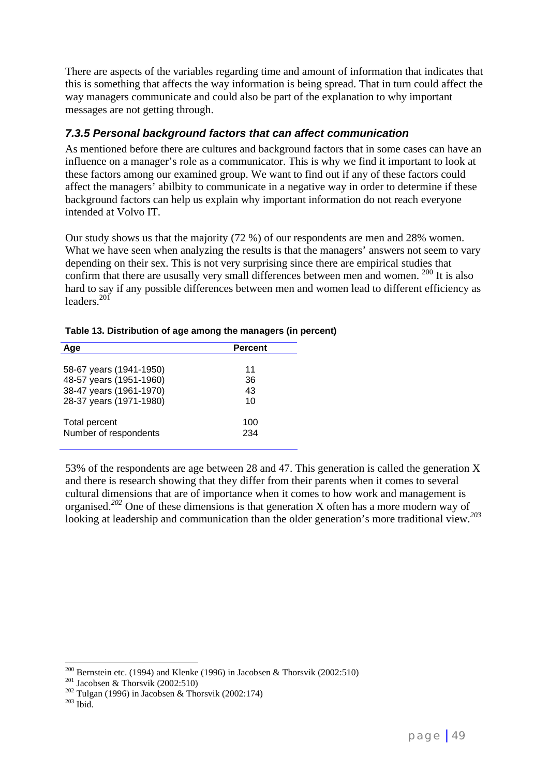There are aspects of the variables regarding time and amount of information that indicates that this is something that affects the way information is being spread. That in turn could affect the way managers communicate and could also be part of the explanation to why important messages are not getting through.

### *7.3.5 Personal background factors that can affect communication*

As mentioned before there are cultures and background factors that in some cases can have an influence on a manager's role as a communicator. This is why we find it important to look at these factors among our examined group. We want to find out if any of these factors could affect the managers' abilbity to communicate in a negative way in order to determine if these background factors can help us explain why important information do not reach everyone intended at Volvo IT.

Our study shows us that the majority (72 %) of our respondents are men and 28% women. What we have seen when analyzing the results is that the managers' answers not seem to vary depending on their sex. This is not very surprising since there are empirical studies that confirm that there are ususally very small differences between men and women.  $^{200}$  It is also hard to say if any possible differences between men and women lead to different efficiency as leaders $^{201}$ 

| Aae                                                | Percent  |
|----------------------------------------------------|----------|
| 58-67 years (1941-1950)                            | 11       |
| 48-57 years (1951-1960)<br>38-47 years (1961-1970) | 36<br>43 |
| 28-37 years (1971-1980)                            | 10       |
| <b>Total percent</b>                               | 100      |
| Number of respondents                              | 234      |

**Table 13. Distribution of age among the managers (in percent)**

53% of the respondents are age between 28 and 47. This generation is called the generation X and there is research showing that they differ from their parents when it comes to several cultural dimensions that are of importance when it comes to how work and management is organised.*<sup>202</sup>* One of these dimensions is that generation X often has a more modern way of looking at leadership and communication than the older generation's more traditional view.*<sup>203</sup>*

<sup>&</sup>lt;sup>200</sup> Bernstein etc. (1994) and Klenke (1996) in Jacobsen & Thorsvik (2002:510)<br><sup>201</sup> Jacobsen & Thorsvik (2002:510)<br><sup>202</sup> Tulgan (1996) in Jacobsen & Thorsvik (2002:174)<br><sup>203</sup> Ibid.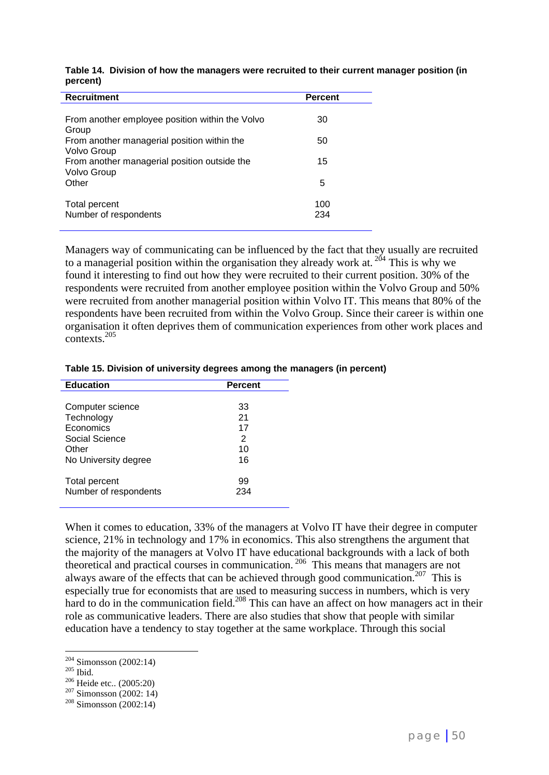| <b>Recruitment</b>                                                                                      | <b>Percent</b> |
|---------------------------------------------------------------------------------------------------------|----------------|
| From another employee position within the Volvo<br>Group<br>From another managerial position within the | 30<br>50       |
| Volvo Group<br>From another managerial position outside the<br>Volvo Group<br>Other                     | 15<br>5        |
| Total percent<br>Number of respondents                                                                  | 100<br>234     |

**Table 14. Division of how the managers were recruited to their current manager position (in percent)**

Managers way of communicating can be influenced by the fact that they usually are recruited to a managerial position within the organisation they already work at.<sup>204</sup> This is why we found it interesting to find out how they were recruited to their current position. 30% of the respondents were recruited from another employee position within the Volvo Group and 50% were recruited from another managerial position within Volvo IT. This means that 80% of the respondents have been recruited from within the Volvo Group. Since their career is within one organisation it often deprives them of communication experiences from other work places and contexts.205

|           | Table 15. Division of university degrees among the managers (in percent) |  |
|-----------|--------------------------------------------------------------------------|--|
| Education | <b>Doroont</b>                                                           |  |

| <b>Education</b>      | <b>Percent</b> |  |
|-----------------------|----------------|--|
|                       |                |  |
| Computer science      | 33             |  |
| Technology            | 21             |  |
| Economics             | 17             |  |
| Social Science        | 2              |  |
| Other                 | 10             |  |
| No University degree  | 16             |  |
|                       |                |  |
| Total percent         | 99             |  |
| Number of respondents | 234            |  |
|                       |                |  |

When it comes to education, 33% of the managers at Volvo IT have their degree in computer science, 21% in technology and 17% in economics. This also strengthens the argument that the majority of the managers at Volvo IT have educational backgrounds with a lack of both theoretical and practical courses in communication.<sup>206</sup> This means that managers are not always aware of the effects that can be achieved through good communication.<sup>207</sup> This is especially true for economists that are used to measuring success in numbers, which is very hard to do in the communication field.<sup>208</sup> This can have an affect on how managers act in their role as communicative leaders. There are also studies that show that people with similar education have a tendency to stay together at the same workplace. Through this social

 $204$  Simonsson (2002:14)

<sup>&</sup>lt;sup>205</sup> Ibid.<br><sup>206</sup> Heide etc.. (2005:20)<br><sup>207</sup> Simonsson (2002: 14)<br><sup>208</sup> Simonsson (2002:14)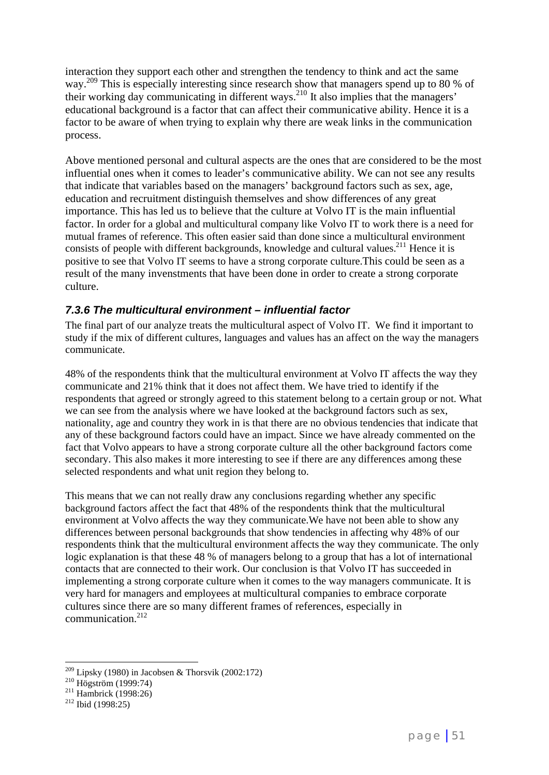interaction they support each other and strengthen the tendency to think and act the same way.<sup>209</sup> This is especially interesting since research show that managers spend up to 80 % of their working day communicating in different ways.<sup>210</sup> It also implies that the managers' educational background is a factor that can affect their communicative ability. Hence it is a factor to be aware of when trying to explain why there are weak links in the communication process.

Above mentioned personal and cultural aspects are the ones that are considered to be the most influential ones when it comes to leader's communicative ability. We can not see any results that indicate that variables based on the managers' background factors such as sex, age, education and recruitment distinguish themselves and show differences of any great importance. This has led us to believe that the culture at Volvo IT is the main influential factor. In order for a global and multicultural company like Volvo IT to work there is a need for mutual frames of reference. This often easier said than done since a multicultural environment consists of people with different backgrounds, knowledge and cultural values.<sup>211</sup> Hence it is positive to see that Volvo IT seems to have a strong corporate culture.This could be seen as a result of the many invenstments that have been done in order to create a strong corporate culture.

### *7.3.6 The multicultural environment – influential factor*

The final part of our analyze treats the multicultural aspect of Volvo IT. We find it important to study if the mix of different cultures, languages and values has an affect on the way the managers communicate.

48% of the respondents think that the multicultural environment at Volvo IT affects the way they communicate and 21% think that it does not affect them. We have tried to identify if the respondents that agreed or strongly agreed to this statement belong to a certain group or not. What we can see from the analysis where we have looked at the background factors such as sex, nationality, age and country they work in is that there are no obvious tendencies that indicate that any of these background factors could have an impact. Since we have already commented on the fact that Volvo appears to have a strong corporate culture all the other background factors come secondary. This also makes it more interesting to see if there are any differences among these selected respondents and what unit region they belong to.

This means that we can not really draw any conclusions regarding whether any specific background factors affect the fact that 48% of the respondents think that the multicultural environment at Volvo affects the way they communicate.We have not been able to show any differences between personal backgrounds that show tendencies in affecting why 48% of our respondents think that the multicultural environment affects the way they communicate. The only logic explanation is that these 48 % of managers belong to a group that has a lot of international contacts that are connected to their work. Our conclusion is that Volvo IT has succeeded in implementing a strong corporate culture when it comes to the way managers communicate. It is very hard for managers and employees at multicultural companies to embrace corporate cultures since there are so many different frames of references, especially in communication. 212

<sup>&</sup>lt;sup>209</sup> Lipsky (1980) in Jacobsen & Thorsvik (2002:172)<br><sup>210</sup> Högström (1999:74)<br><sup>211</sup> Hambrick (1998:26)<br><sup>212</sup> Ibid (1998:25)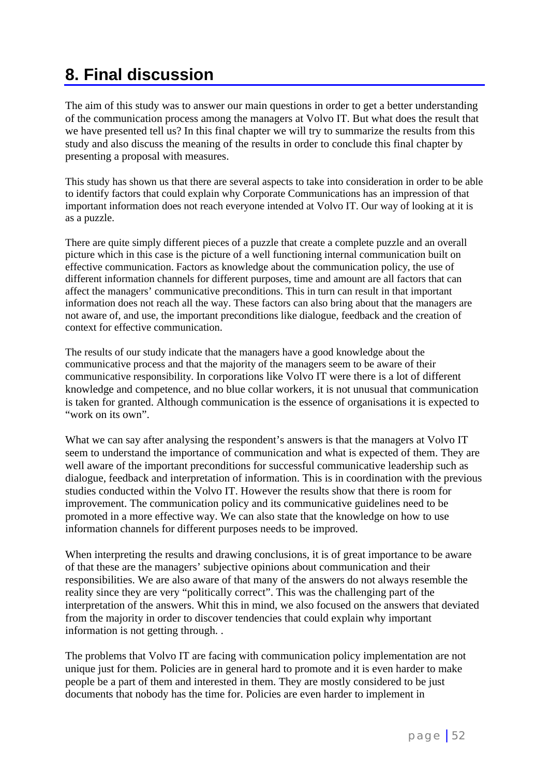# **8. Final discussion**

The aim of this study was to answer our main questions in order to get a better understanding of the communication process among the managers at Volvo IT. But what does the result that we have presented tell us? In this final chapter we will try to summarize the results from this study and also discuss the meaning of the results in order to conclude this final chapter by presenting a proposal with measures.

This study has shown us that there are several aspects to take into consideration in order to be able to identify factors that could explain why Corporate Communications has an impression of that important information does not reach everyone intended at Volvo IT. Our way of looking at it is as a puzzle.

There are quite simply different pieces of a puzzle that create a complete puzzle and an overall picture which in this case is the picture of a well functioning internal communication built on effective communication. Factors as knowledge about the communication policy, the use of different information channels for different purposes, time and amount are all factors that can affect the managers' communicative preconditions. This in turn can result in that important information does not reach all the way. These factors can also bring about that the managers are not aware of, and use, the important preconditions like dialogue, feedback and the creation of context for effective communication.

The results of our study indicate that the managers have a good knowledge about the communicative process and that the majority of the managers seem to be aware of their communicative responsibility. In corporations like Volvo IT were there is a lot of different knowledge and competence, and no blue collar workers, it is not unusual that communication is taken for granted. Although communication is the essence of organisations it is expected to "work on its own".

What we can say after analysing the respondent's answers is that the managers at Volvo IT seem to understand the importance of communication and what is expected of them. They are well aware of the important preconditions for successful communicative leadership such as dialogue, feedback and interpretation of information. This is in coordination with the previous studies conducted within the Volvo IT. However the results show that there is room for improvement. The communication policy and its communicative guidelines need to be promoted in a more effective way. We can also state that the knowledge on how to use information channels for different purposes needs to be improved.

When interpreting the results and drawing conclusions, it is of great importance to be aware of that these are the managers' subjective opinions about communication and their responsibilities. We are also aware of that many of the answers do not always resemble the reality since they are very "politically correct". This was the challenging part of the interpretation of the answers. Whit this in mind, we also focused on the answers that deviated from the majority in order to discover tendencies that could explain why important information is not getting through. .

The problems that Volvo IT are facing with communication policy implementation are not unique just for them. Policies are in general hard to promote and it is even harder to make people be a part of them and interested in them. They are mostly considered to be just documents that nobody has the time for. Policies are even harder to implement in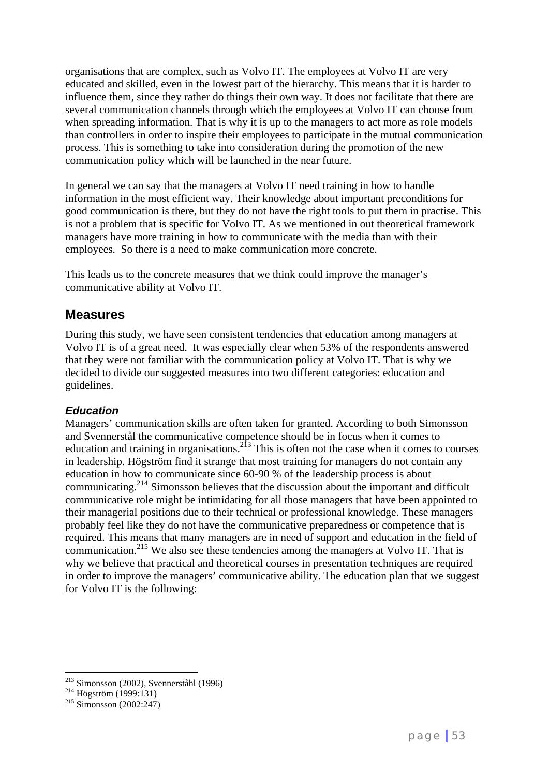organisations that are complex, such as Volvo IT. The employees at Volvo IT are very educated and skilled, even in the lowest part of the hierarchy. This means that it is harder to influence them, since they rather do things their own way. It does not facilitate that there are several communication channels through which the employees at Volvo IT can choose from when spreading information. That is why it is up to the managers to act more as role models than controllers in order to inspire their employees to participate in the mutual communication process. This is something to take into consideration during the promotion of the new communication policy which will be launched in the near future.

In general we can say that the managers at Volvo IT need training in how to handle information in the most efficient way. Their knowledge about important preconditions for good communication is there, but they do not have the right tools to put them in practise. This is not a problem that is specific for Volvo IT. As we mentioned in out theoretical framework managers have more training in how to communicate with the media than with their employees. So there is a need to make communication more concrete.

This leads us to the concrete measures that we think could improve the manager's communicative ability at Volvo IT.

### **Measures**

During this study, we have seen consistent tendencies that education among managers at Volvo IT is of a great need. It was especially clear when 53% of the respondents answered that they were not familiar with the communication policy at Volvo IT. That is why we decided to divide our suggested measures into two different categories: education and guidelines.

### *Education*

Managers' communication skills are often taken for granted. According to both Simonsson and Svennerstål the communicative competence should be in focus when it comes to education and training in organisations. $2^{13}$  This is often not the case when it comes to courses in leadership. Högström find it strange that most training for managers do not contain any education in how to communicate since 60-90 % of the leadership process is about communicating.214 Simonsson believes that the discussion about the important and difficult communicative role might be intimidating for all those managers that have been appointed to their managerial positions due to their technical or professional knowledge. These managers probably feel like they do not have the communicative preparedness or competence that is required. This means that many managers are in need of support and education in the field of communication.215 We also see these tendencies among the managers at Volvo IT. That is why we believe that practical and theoretical courses in presentation techniques are required in order to improve the managers' communicative ability. The education plan that we suggest for Volvo IT is the following:

<sup>&</sup>lt;sup>213</sup> Simonsson (2002), Svennerståhl (1996)<br><sup>214</sup> Högström (1999:131)<br><sup>215</sup> Simonsson (2002:247)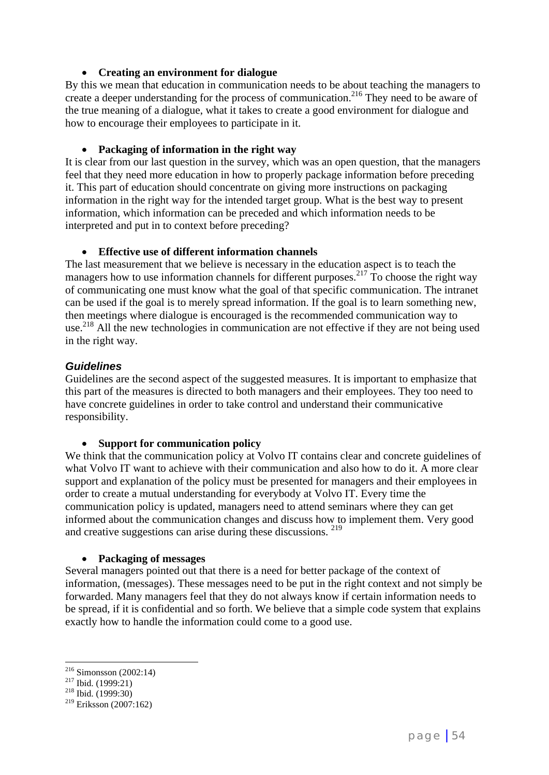### **Creating an environment for dialogue**

By this we mean that education in communication needs to be about teaching the managers to create a deeper understanding for the process of communication.<sup>216</sup> They need to be aware of the true meaning of a dialogue, what it takes to create a good environment for dialogue and how to encourage their employees to participate in it.

### **Packaging of information in the right way**

It is clear from our last question in the survey, which was an open question, that the managers feel that they need more education in how to properly package information before preceding it. This part of education should concentrate on giving more instructions on packaging information in the right way for the intended target group. What is the best way to present information, which information can be preceded and which information needs to be interpreted and put in to context before preceding?

### **Effective use of different information channels**

The last measurement that we believe is necessary in the education aspect is to teach the managers how to use information channels for different purposes.<sup>217</sup> To choose the right way of communicating one must know what the goal of that specific communication. The intranet can be used if the goal is to merely spread information. If the goal is to learn something new, then meetings where dialogue is encouraged is the recommended communication way to use.<sup>218</sup> All the new technologies in communication are not effective if they are not being used in the right way.

### *Guidelines*

Guidelines are the second aspect of the suggested measures. It is important to emphasize that this part of the measures is directed to both managers and their employees. They too need to have concrete guidelines in order to take control and understand their communicative responsibility.

### **Support for communication policy**

We think that the communication policy at Volvo IT contains clear and concrete guidelines of what Volvo IT want to achieve with their communication and also how to do it. A more clear support and explanation of the policy must be presented for managers and their employees in order to create a mutual understanding for everybody at Volvo IT. Every time the communication policy is updated, managers need to attend seminars where they can get informed about the communication changes and discuss how to implement them. Very good and creative suggestions can arise during these discussions. <sup>219</sup>

#### **Packaging of messages**

Several managers pointed out that there is a need for better package of the context of information, (messages). These messages need to be put in the right context and not simply be forwarded. Many managers feel that they do not always know if certain information needs to be spread, if it is confidential and so forth. We believe that a simple code system that explains exactly how to handle the information could come to a good use.

 $216$  Simonsson (2002:14)

<sup>217</sup> Ibid. (1999:21)<br><sup>218</sup> Ibid. (1999:30)

 $219$  Eriksson (2007:162)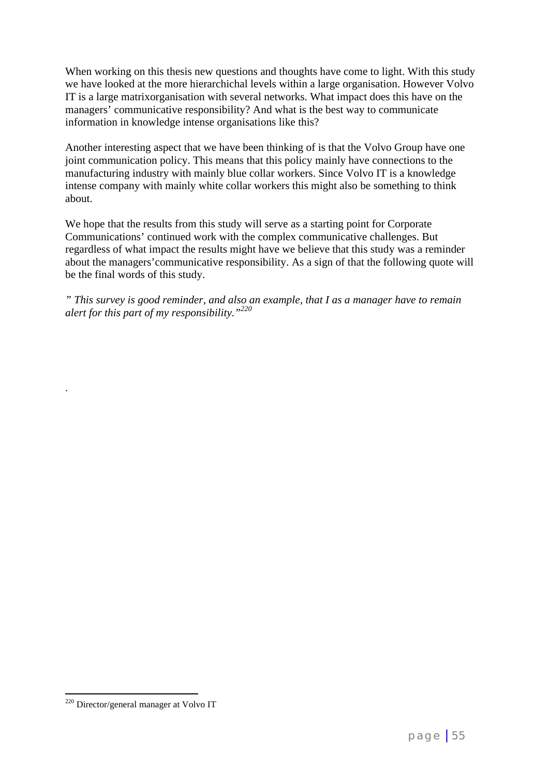When working on this thesis new questions and thoughts have come to light. With this study we have looked at the more hierarchichal levels within a large organisation. However Volvo IT is a large matrixorganisation with several networks. What impact does this have on the managers' communicative responsibility? And what is the best way to communicate information in knowledge intense organisations like this?

Another interesting aspect that we have been thinking of is that the Volvo Group have one joint communication policy. This means that this policy mainly have connections to the manufacturing industry with mainly blue collar workers. Since Volvo IT is a knowledge intense company with mainly white collar workers this might also be something to think about.

We hope that the results from this study will serve as a starting point for Corporate Communications' continued work with the complex communicative challenges. But regardless of what impact the results might have we believe that this study was a reminder about the managers'communicative responsibility. As a sign of that the following quote will be the final words of this study.

*" This survey is good reminder, and also an example, that I as a manager have to remain alert for this part of my responsibility."220*

.

<sup>&</sup>lt;sup>220</sup> Director/general manager at Volvo IT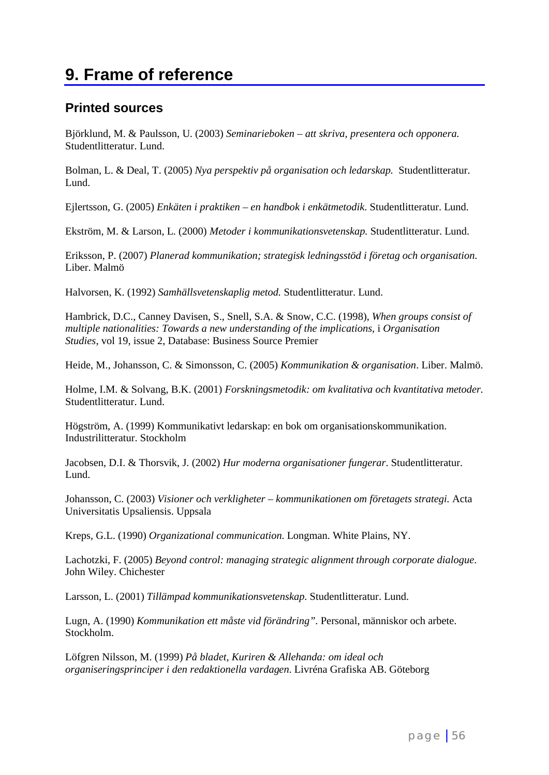# **9. Frame of reference**

### **Printed sources**

Björklund, M. & Paulsson, U. (2003) *Seminarieboken – att skriva, presentera och opponera.*  Studentlitteratur. Lund.

Bolman, L. & Deal, T. (2005) *Nya perspektiv på organisation och ledarskap.* Studentlitteratur. Lund.

Ejlertsson, G. (2005) *Enkäten i praktiken – en handbok i enkätmetodik*. Studentlitteratur. Lund.

Ekström, M. & Larson, L. (2000) *Metoder i kommunikationsvetenskap.* Studentlitteratur. Lund.

Eriksson, P. (2007) *Planerad kommunikation; strategisk ledningsstöd i företag och organisation*. Liber. Malmö

Halvorsen, K. (1992) *Samhällsvetenskaplig metod.* Studentlitteratur. Lund.

Hambrick, D.C., Canney Davisen, S., Snell, S.A. & Snow, C.C. (1998), *When groups consist of multiple nationalities: Towards a new understanding of the implications*, i *Organisation Studies*, vol 19, issue 2, Database: Business Source Premier

Heide, M., Johansson, C. & Simonsson, C. (2005) *Kommunikation & organisation*. Liber. Malmö.

Holme, I.M. & Solvang, B.K. (2001) *Forskningsmetodik: om kvalitativa och kvantitativa metoder.* Studentlitteratur. Lund.

Högström, A. (1999) Kommunikativt ledarskap: en bok om organisationskommunikation. Industrilitteratur. Stockholm

Jacobsen, D.I. & Thorsvik, J. (2002) *Hur moderna organisationer fungerar*. Studentlitteratur. Lund.

Johansson, C. (2003) *Visioner och verkligheter – kommunikationen om företagets strategi.* Acta Universitatis Upsaliensis. Uppsala

Kreps, G.L. (1990) *Organizational communication*. Longman. White Plains, NY.

Lachotzki, F. (2005) *Beyond control: managing strategic alignment through corporate dialogue*. John Wiley. Chichester

Larsson, L. (2001) *Tillämpad kommunikationsvetenskap*. Studentlitteratur. Lund.

Lugn, A. (1990) *Kommunikation ett måste vid förändring".* Personal, människor och arbete. Stockholm.

Löfgren Nilsson, M. (1999) *På bladet, Kuriren & Allehanda: om ideal och organiseringsprinciper i den redaktionella vardagen*. Livréna Grafiska AB. Göteborg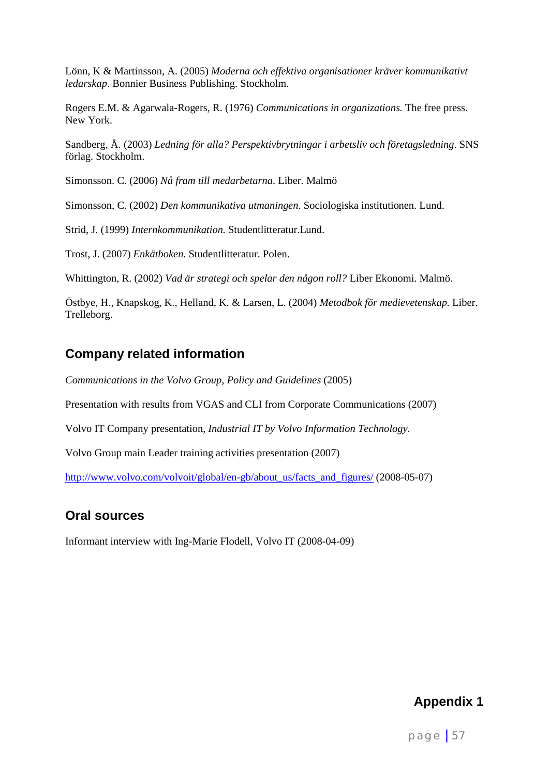Lönn, K & Martinsson, A. (2005) *Moderna och effektiva organisationer kräver kommunikativt ledarskap*. Bonnier Business Publishing. Stockholm.

Rogers E.M. & Agarwala-Rogers, R. (1976) *Communications in organizations*. The free press. New York.

Sandberg, Å. (2003) *Ledning för alla? Perspektivbrytningar i arbetsliv och företagsledning*. SNS förlag. Stockholm.

Simonsson. C. (2006) *Nå fram till medarbetarna*. Liber. Malmö

Simonsson, C. (2002) *Den kommunikativa utmaningen*. Sociologiska institutionen. Lund.

Strid, J. (1999) *Internkommunikation.* Studentlitteratur.Lund.

Trost, J. (2007) *Enkätboken.* Studentlitteratur. Polen.

Whittington, R. (2002) *Vad är strategi och spelar den någon roll?* Liber Ekonomi. Malmö.

Östbye, H., Knapskog, K., Helland, K. & Larsen, L. (2004) *Metodbok för medievetenskap.* Liber. Trelleborg.

### **Company related information**

*Communications in the Volvo Group, Policy and Guidelines* (2005)

Presentation with results from VGAS and CLI from Corporate Communications (2007)

Volvo IT Company presentation, *Industrial IT by Volvo Information Technology.*

Volvo Group main Leader training activities presentation (2007)

http://www.volvo.com/volvoit/global/en-gb/about\_us/facts\_and\_figures/ (2008-05-07)

### **Oral sources**

Informant interview with Ing-Marie Flodell, Volvo IT (2008-04-09)

### **Appendix 1**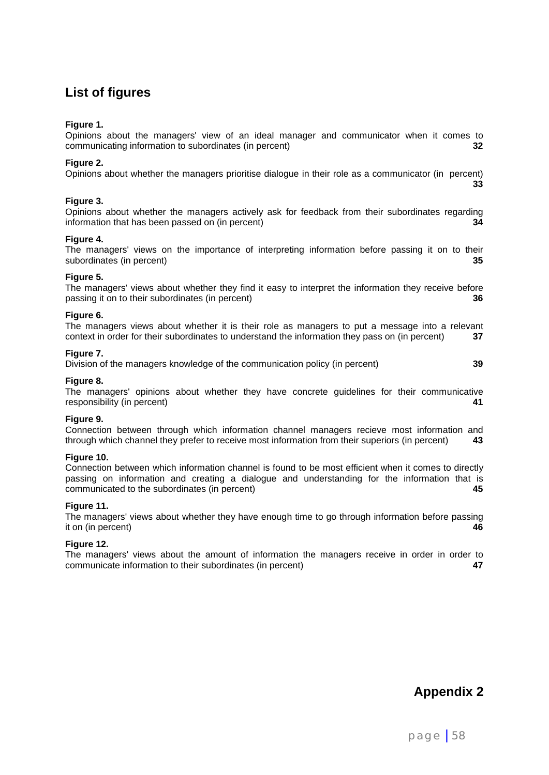### **List of figures**

#### **Figure 1.**

Opinions about the managers' view of an ideal manager and communicator when it comes to communicating information to subordinates (in percent) **32**

#### **Figure 2.**

Opinions about whether the managers prioritise dialogue in their role as a communicator (in percent) **33**

#### **Figure 3.**

Opinions about whether the managers actively ask for feedback from their subordinates regarding information that has been passed on (in percent) **34**

#### **Figure 4.**

The managers' views on the importance of interpreting information before passing it on to their subordinates (in percent) **35**

#### **Figure 5.**

The managers' views about whether they find it easy to interpret the information they receive before passing it on to their subordinates (in percent) **36**

#### **Figure 6.**

The managers views about whether it is their role as managers to put a message into a relevant context in order for their subordinates to understand the information they pass on (in percent) **37**

#### **Figure 7.**

Division of the managers knowledge of the communication policy (in percent) **39**

#### **Figure 8.**

The managers' opinions about whether they have concrete guidelines for their communicative responsibility (in percent) **41**

#### **Figure 9.**

Connection between through which information channel managers recieve most information and through which channel they prefer to receive most information from their superiors (in percent) **43**

#### **Figure 10.**

Connection between which information channel is found to be most efficient when it comes to directly passing on information and creating a dialogue and understanding for the information that is communicated to the subordinates (in percent) **45**

#### **Figure 11.**

The managers' views about whether they have enough time to go through information before passing it on (in percent) **46**

#### **Figure 12.**

The managers' views about the amount of information the managers receive in order in order to communicate information to their subordinates (in percent) **47**

**Appendix 2**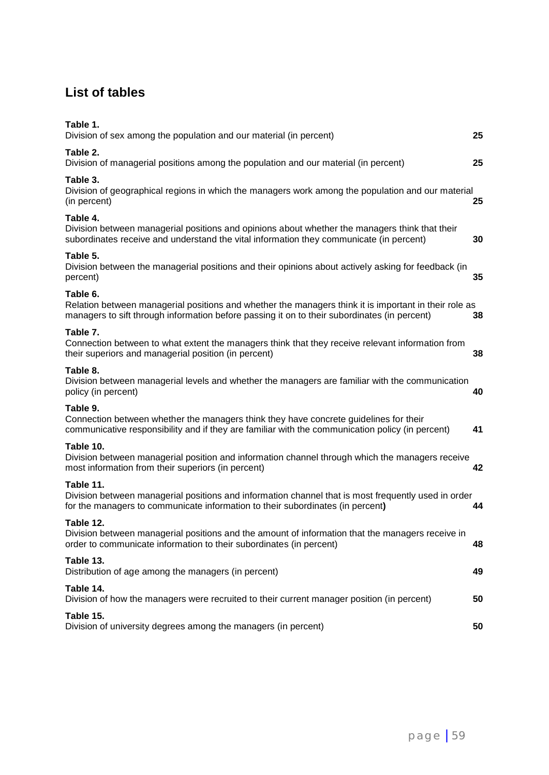### **List of tables**

| Table 1.<br>Division of sex among the population and our material (in percent)                                                                                                                                    | 25 |
|-------------------------------------------------------------------------------------------------------------------------------------------------------------------------------------------------------------------|----|
| Table 2.<br>Division of managerial positions among the population and our material (in percent)                                                                                                                   | 25 |
| Table 3.<br>Division of geographical regions in which the managers work among the population and our material<br>(in percent)                                                                                     | 25 |
| Table 4.<br>Division between managerial positions and opinions about whether the managers think that their<br>subordinates receive and understand the vital information they communicate (in percent)             | 30 |
| Table 5.<br>Division between the managerial positions and their opinions about actively asking for feedback (in<br>percent)                                                                                       | 35 |
| Table 6.<br>Relation between managerial positions and whether the managers think it is important in their role as<br>managers to sift through information before passing it on to their subordinates (in percent) | 38 |
| Table 7.<br>Connection between to what extent the managers think that they receive relevant information from<br>their superiors and managerial position (in percent)                                              | 38 |
| Table 8.<br>Division between managerial levels and whether the managers are familiar with the communication<br>policy (in percent)                                                                                | 40 |
| Table 9.<br>Connection between whether the managers think they have concrete guidelines for their<br>communicative responsibility and if they are familiar with the communication policy (in percent)             | 41 |
| Table 10.<br>Division between managerial position and information channel through which the managers receive<br>most information from their superiors (in percent)                                                | 42 |
| Table 11.<br>Division between managerial positions and information channel that is most frequently used in order<br>for the managers to communicate information to their subordinates (in percent)                | 44 |
| Table 12.<br>Division between managerial positions and the amount of information that the managers receive in<br>order to communicate information to their subordinates (in percent)                              | 48 |
| Table 13.<br>Distribution of age among the managers (in percent)                                                                                                                                                  | 49 |
| Table 14.<br>Division of how the managers were recruited to their current manager position (in percent)                                                                                                           | 50 |
| Table 15.<br>Division of university degrees among the managers (in percent)                                                                                                                                       | 50 |